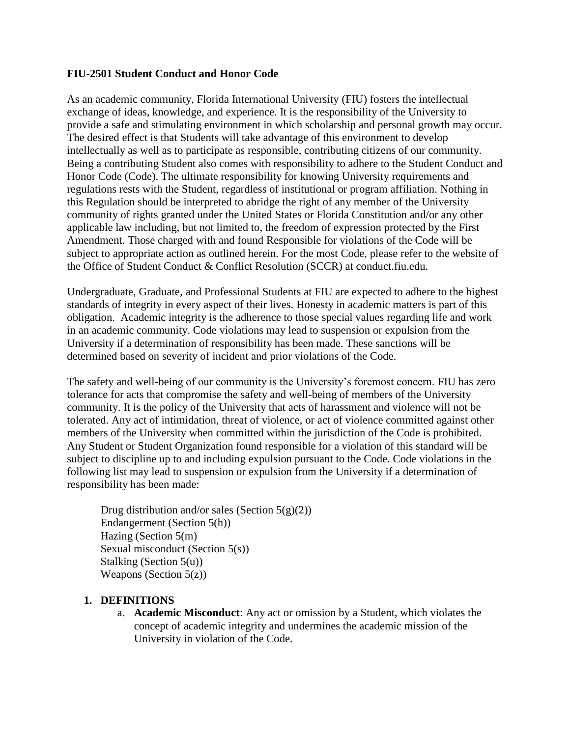#### **FIU-2501 Student Conduct and Honor Code**

As an academic community, Florida International University (FIU) fosters the intellectual exchange of ideas, knowledge, and experience. It is the responsibility of the University to provide a safe and stimulating environment in which scholarship and personal growth may occur. The desired effect is that Students will take advantage of this environment to develop intellectually as well as to participate as responsible, contributing citizens of our community. Being a contributing Student also comes with responsibility to adhere to the Student Conduct and Honor Code (Code). The ultimate responsibility for knowing University requirements and regulations rests with the Student, regardless of institutional or program affiliation. Nothing in this Regulation should be interpreted to abridge the right of any member of the University community of rights granted under the United States or Florida Constitution and/or any other applicable law including, but not limited to, the freedom of expression protected by the First Amendment. Those charged with and found Responsible for violations of the Code will be subject to appropriate action as outlined herein. For the most Code, please refer to the website of the Office of Student Conduct & Conflict Resolution (SCCR) at conduct.fiu.edu.

Undergraduate, Graduate, and Professional Students at FIU are expected to adhere to the highest standards of integrity in every aspect of their lives. Honesty in academic matters is part of this obligation. Academic integrity is the adherence to those special values regarding life and work in an academic community. Code violations may lead to suspension or expulsion from the University if a determination of responsibility has been made. These sanctions will be determined based on severity of incident and prior violations of the Code.

The safety and well-being of our community is the University's foremost concern. FIU has zero tolerance for acts that compromise the safety and well-being of members of the University community. It is the policy of the University that acts of harassment and violence will not be tolerated. Any act of intimidation, threat of violence, or act of violence committed against other members of the University when committed within the jurisdiction of the Code is prohibited. Any Student or Student Organization found responsible for a violation of this standard will be subject to discipline up to and including expulsion pursuant to the Code. Code violations in the following list may lead to suspension or expulsion from the University if a determination of responsibility has been made:

Drug distribution and/or sales (Section  $5(g)(2)$ ) Endangerment (Section 5(h)) Hazing (Section 5(m) Sexual misconduct (Section 5(s)) Stalking (Section 5(u)) Weapons (Section  $5(z)$ )

#### **1. DEFINITIONS**

a. **Academic Misconduct**: Any act or omission by a Student, which violates the concept of academic integrity and undermines the academic mission of the University in violation of the Code.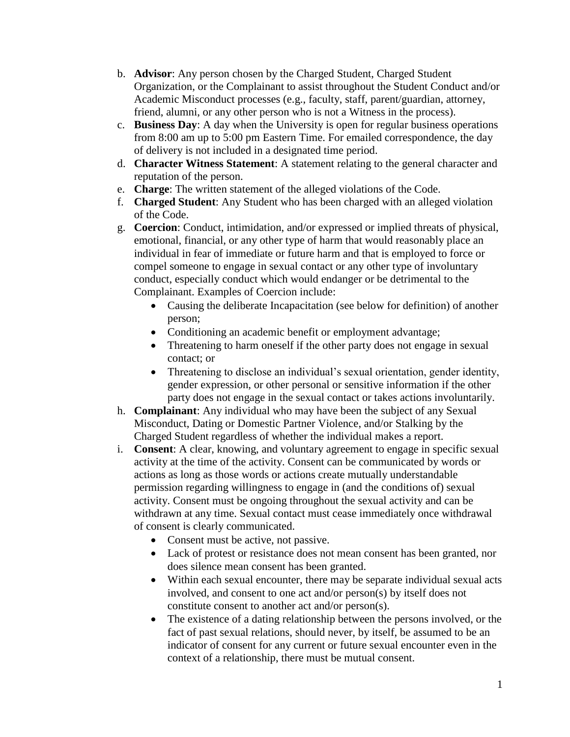- b. **Advisor**: Any person chosen by the Charged Student, Charged Student Organization, or the Complainant to assist throughout the Student Conduct and/or Academic Misconduct processes (e.g., faculty, staff, parent/guardian, attorney, friend, alumni, or any other person who is not a Witness in the process).
- c. **Business Day**: A day when the University is open for regular business operations from 8:00 am up to 5:00 pm Eastern Time. For emailed correspondence, the day of delivery is not included in a designated time period.
- d. **Character Witness Statement**: A statement relating to the general character and reputation of the person.
- e. **Charge**: The written statement of the alleged violations of the Code.
- f. **Charged Student**: Any Student who has been charged with an alleged violation of the Code.
- g. **Coercion**: Conduct, intimidation, and/or expressed or implied threats of physical, emotional, financial, or any other type of harm that would reasonably place an individual in fear of immediate or future harm and that is employed to force or compel someone to engage in sexual contact or any other type of involuntary conduct, especially conduct which would endanger or be detrimental to the Complainant. Examples of Coercion include:
	- Causing the deliberate Incapacitation (see below for definition) of another person;
	- Conditioning an academic benefit or employment advantage;
	- Threatening to harm oneself if the other party does not engage in sexual contact; or
	- Threatening to disclose an individual's sexual orientation, gender identity, gender expression, or other personal or sensitive information if the other party does not engage in the sexual contact or takes actions involuntarily.
- h. **Complainant**: Any individual who may have been the subject of any Sexual Misconduct, Dating or Domestic Partner Violence, and/or Stalking by the Charged Student regardless of whether the individual makes a report.
- i. **Consent**: A clear, knowing, and voluntary agreement to engage in specific sexual activity at the time of the activity. Consent can be communicated by words or actions as long as those words or actions create mutually understandable permission regarding willingness to engage in (and the conditions of) sexual activity. Consent must be ongoing throughout the sexual activity and can be withdrawn at any time. Sexual contact must cease immediately once withdrawal of consent is clearly communicated.
	- Consent must be active, not passive.
	- Lack of protest or resistance does not mean consent has been granted, nor does silence mean consent has been granted.
	- Within each sexual encounter, there may be separate individual sexual acts involved, and consent to one act and/or person(s) by itself does not constitute consent to another act and/or person(s).
	- The existence of a dating relationship between the persons involved, or the fact of past sexual relations, should never, by itself, be assumed to be an indicator of consent for any current or future sexual encounter even in the context of a relationship, there must be mutual consent.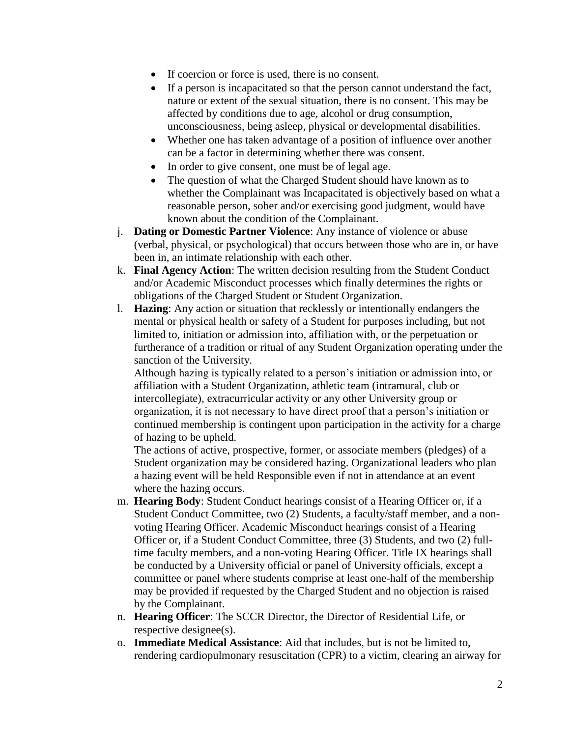- If coercion or force is used, there is no consent.
- If a person is incapacitated so that the person cannot understand the fact, nature or extent of the sexual situation, there is no consent. This may be affected by conditions due to age, alcohol or drug consumption, unconsciousness, being asleep, physical or developmental disabilities.
- Whether one has taken advantage of a position of influence over another can be a factor in determining whether there was consent.
- In order to give consent, one must be of legal age.
- The question of what the Charged Student should have known as to whether the Complainant was Incapacitated is objectively based on what a reasonable person, sober and/or exercising good judgment, would have known about the condition of the Complainant.
- j. **Dating or Domestic Partner Violence**: Any instance of violence or abuse (verbal, physical, or psychological) that occurs between those who are in, or have been in, an intimate relationship with each other.
- k. **Final Agency Action**: The written decision resulting from the Student Conduct and/or Academic Misconduct processes which finally determines the rights or obligations of the Charged Student or Student Organization.
- l. **Hazing**: Any action or situation that recklessly or intentionally endangers the mental or physical health or safety of a Student for purposes including, but not limited to, initiation or admission into, affiliation with, or the perpetuation or furtherance of a tradition or ritual of any Student Organization operating under the sanction of the University.

Although hazing is typically related to a person's initiation or admission into, or affiliation with a Student Organization, athletic team (intramural, club or intercollegiate), extracurricular activity or any other University group or organization, it is not necessary to have direct proof that a person's initiation or continued membership is contingent upon participation in the activity for a charge of hazing to be upheld.

The actions of active, prospective, former, or associate members (pledges) of a Student organization may be considered hazing. Organizational leaders who plan a hazing event will be held Responsible even if not in attendance at an event where the hazing occurs.

- m. **Hearing Body**: Student Conduct hearings consist of a Hearing Officer or, if a Student Conduct Committee, two (2) Students, a faculty/staff member, and a nonvoting Hearing Officer. Academic Misconduct hearings consist of a Hearing Officer or, if a Student Conduct Committee, three (3) Students, and two (2) fulltime faculty members, and a non-voting Hearing Officer. Title IX hearings shall be conducted by a University official or panel of University officials, except a committee or panel where students comprise at least one-half of the membership may be provided if requested by the Charged Student and no objection is raised by the Complainant.
- n. **Hearing Officer**: The SCCR Director, the Director of Residential Life, or respective designee(s).
- o. **Immediate Medical Assistance**: Aid that includes, but is not be limited to, rendering cardiopulmonary resuscitation (CPR) to a victim, clearing an airway for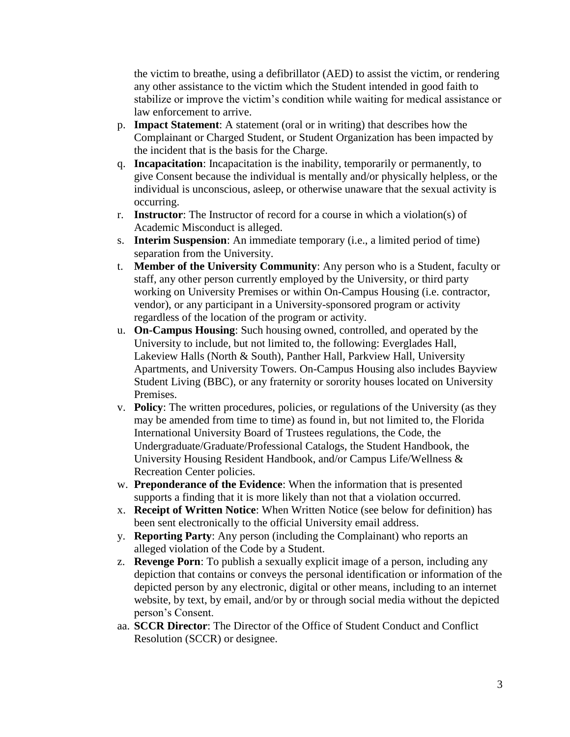the victim to breathe, using a defibrillator (AED) to assist the victim, or rendering any other assistance to the victim which the Student intended in good faith to stabilize or improve the victim's condition while waiting for medical assistance or law enforcement to arrive.

- p. **Impact Statement**: A statement (oral or in writing) that describes how the Complainant or Charged Student, or Student Organization has been impacted by the incident that is the basis for the Charge.
- q. **Incapacitation**: Incapacitation is the inability, temporarily or permanently, to give Consent because the individual is mentally and/or physically helpless, or the individual is unconscious, asleep, or otherwise unaware that the sexual activity is occurring.
- r. **Instructor**: The Instructor of record for a course in which a violation(s) of Academic Misconduct is alleged.
- s. **Interim Suspension**: An immediate temporary (i.e., a limited period of time) separation from the University.
- t. **Member of the University Community**: Any person who is a Student, faculty or staff, any other person currently employed by the University, or third party working on University Premises or within On-Campus Housing (i.e. contractor, vendor), or any participant in a University-sponsored program or activity regardless of the location of the program or activity.
- u. **On-Campus Housing**: Such housing owned, controlled, and operated by the University to include, but not limited to, the following: Everglades Hall, Lakeview Halls (North & South), Panther Hall, Parkview Hall, University Apartments, and University Towers. On-Campus Housing also includes Bayview Student Living (BBC), or any fraternity or sorority houses located on University Premises.
- v. **Policy**: The written procedures, policies, or regulations of the University (as they may be amended from time to time) as found in, but not limited to, the Florida International University Board of Trustees regulations, the Code, the Undergraduate/Graduate/Professional Catalogs, the Student Handbook, the University Housing Resident Handbook, and/or Campus Life/Wellness & Recreation Center policies.
- w. **Preponderance of the Evidence**: When the information that is presented supports a finding that it is more likely than not that a violation occurred.
- x. **Receipt of Written Notice**: When Written Notice (see below for definition) has been sent electronically to the official University email address.
- y. **Reporting Party**: Any person (including the Complainant) who reports an alleged violation of the Code by a Student.
- z. **Revenge Porn**: To publish a sexually explicit image of a person, including any depiction that contains or conveys the personal identification or information of the depicted person by any electronic, digital or other means, including to an internet website, by text, by email, and/or by or through social media without the depicted person's Consent.
- aa. **SCCR Director**: The Director of the Office of Student Conduct and Conflict Resolution (SCCR) or designee.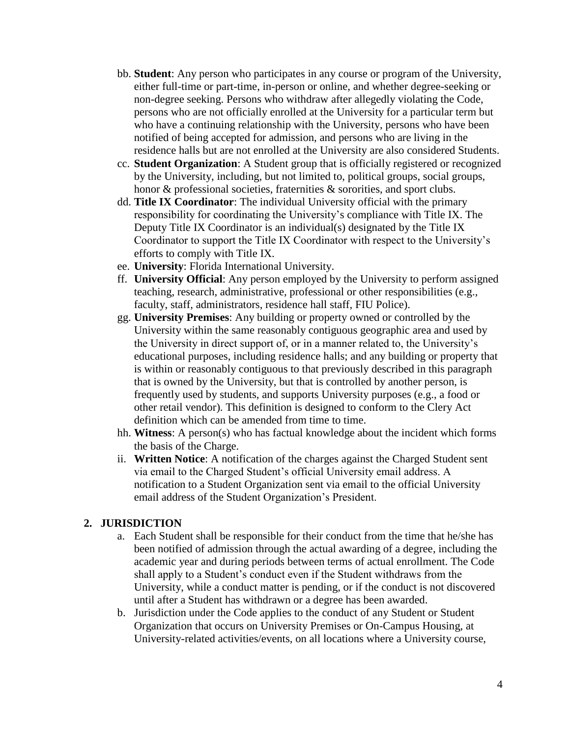- bb. **Student**: Any person who participates in any course or program of the University, either full-time or part-time, in-person or online, and whether degree-seeking or non-degree seeking. Persons who withdraw after allegedly violating the Code, persons who are not officially enrolled at the University for a particular term but who have a continuing relationship with the University, persons who have been notified of being accepted for admission, and persons who are living in the residence halls but are not enrolled at the University are also considered Students.
- cc. **Student Organization**: A Student group that is officially registered or recognized by the University, including, but not limited to, political groups, social groups, honor & professional societies, fraternities & sororities, and sport clubs.
- dd. **Title IX Coordinator**: The individual University official with the primary responsibility for coordinating the University's compliance with Title IX. The Deputy Title IX Coordinator is an individual(s) designated by the Title IX Coordinator to support the Title IX Coordinator with respect to the University's efforts to comply with Title IX.
- ee. **University**: Florida International University.
- ff. **University Official**: Any person employed by the University to perform assigned teaching, research, administrative, professional or other responsibilities (e.g., faculty, staff, administrators, residence hall staff, FIU Police).
- gg. **University Premises**: Any building or property owned or controlled by the University within the same reasonably contiguous geographic area and used by the University in direct support of, or in a manner related to, the University's educational purposes, including residence halls; and any building or property that is within or reasonably contiguous to that previously described in this paragraph that is owned by the University, but that is controlled by another person, is frequently used by students, and supports University purposes (e.g., a food or other retail vendor). This definition is designed to conform to the Clery Act definition which can be amended from time to time.
- hh. **Witness**: A person(s) who has factual knowledge about the incident which forms the basis of the Charge.
- ii. **Written Notice**: A notification of the charges against the Charged Student sent via email to the Charged Student's official University email address. A notification to a Student Organization sent via email to the official University email address of the Student Organization's President.

#### **2. JURISDICTION**

- a. Each Student shall be responsible for their conduct from the time that he/she has been notified of admission through the actual awarding of a degree, including the academic year and during periods between terms of actual enrollment. The Code shall apply to a Student's conduct even if the Student withdraws from the University, while a conduct matter is pending, or if the conduct is not discovered until after a Student has withdrawn or a degree has been awarded.
- b. Jurisdiction under the Code applies to the conduct of any Student or Student Organization that occurs on University Premises or On-Campus Housing, at University-related activities/events, on all locations where a University course,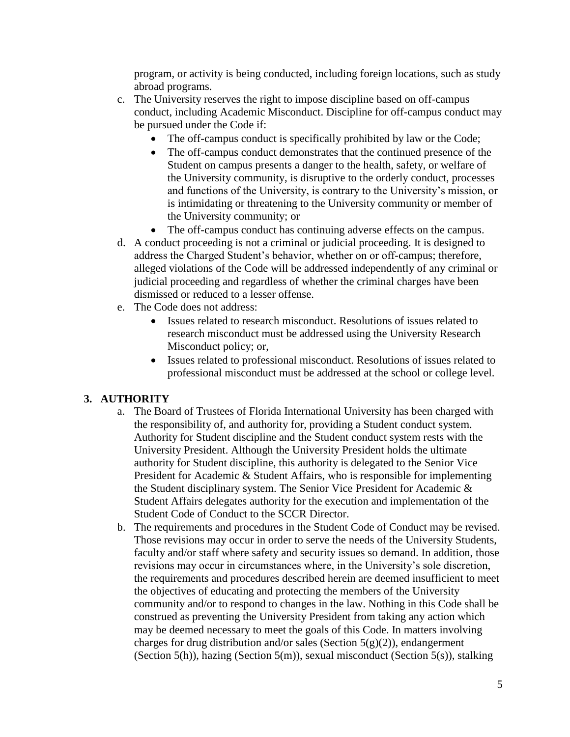program, or activity is being conducted, including foreign locations, such as study abroad programs.

- c. The University reserves the right to impose discipline based on off-campus conduct, including Academic Misconduct. Discipline for off-campus conduct may be pursued under the Code if:
	- The off-campus conduct is specifically prohibited by law or the Code;
	- The off-campus conduct demonstrates that the continued presence of the Student on campus presents a danger to the health, safety, or welfare of the University community, is disruptive to the orderly conduct, processes and functions of the University, is contrary to the University's mission, or is intimidating or threatening to the University community or member of the University community; or
	- The off-campus conduct has continuing adverse effects on the campus.
- d. A conduct proceeding is not a criminal or judicial proceeding. It is designed to address the Charged Student's behavior, whether on or off-campus; therefore, alleged violations of the Code will be addressed independently of any criminal or judicial proceeding and regardless of whether the criminal charges have been dismissed or reduced to a lesser offense.
- e. The Code does not address:
	- Issues related to research misconduct. Resolutions of issues related to research misconduct must be addressed using the University Research Misconduct policy; or,
	- Issues related to professional misconduct. Resolutions of issues related to professional misconduct must be addressed at the school or college level.

## **3. AUTHORITY**

- a. The Board of Trustees of Florida International University has been charged with the responsibility of, and authority for, providing a Student conduct system. Authority for Student discipline and the Student conduct system rests with the University President. Although the University President holds the ultimate authority for Student discipline, this authority is delegated to the Senior Vice President for Academic & Student Affairs, who is responsible for implementing the Student disciplinary system. The Senior Vice President for Academic & Student Affairs delegates authority for the execution and implementation of the Student Code of Conduct to the SCCR Director.
- b. The requirements and procedures in the Student Code of Conduct may be revised. Those revisions may occur in order to serve the needs of the University Students, faculty and/or staff where safety and security issues so demand. In addition, those revisions may occur in circumstances where, in the University's sole discretion, the requirements and procedures described herein are deemed insufficient to meet the objectives of educating and protecting the members of the University community and/or to respond to changes in the law. Nothing in this Code shall be construed as preventing the University President from taking any action which may be deemed necessary to meet the goals of this Code. In matters involving charges for drug distribution and/or sales (Section  $5(g)(2)$ ), endangerment (Section 5(h)), hazing (Section 5(m)), sexual misconduct (Section 5(s)), stalking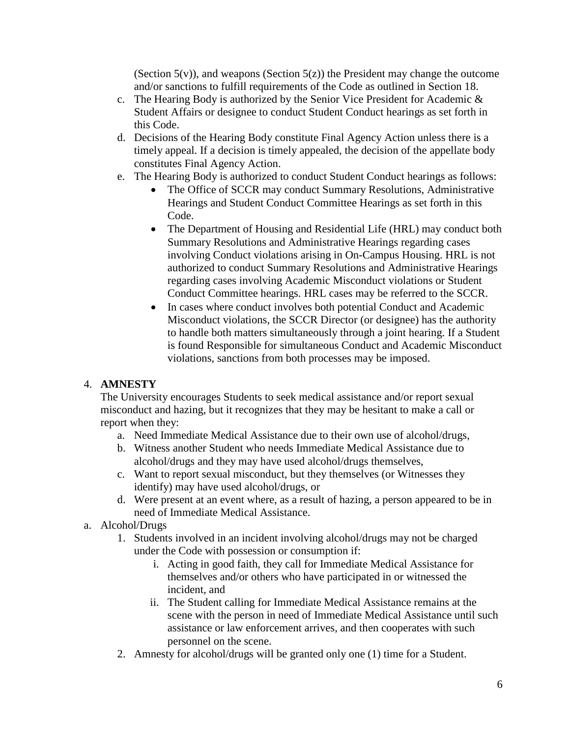(Section  $5(y)$ ), and weapons (Section  $5(z)$ ) the President may change the outcome and/or sanctions to fulfill requirements of the Code as outlined in Section 18.

- c. The Hearing Body is authorized by the Senior Vice President for Academic & Student Affairs or designee to conduct Student Conduct hearings as set forth in this Code.
- d. Decisions of the Hearing Body constitute Final Agency Action unless there is a timely appeal. If a decision is timely appealed, the decision of the appellate body constitutes Final Agency Action.
- e. The Hearing Body is authorized to conduct Student Conduct hearings as follows:
	- The Office of SCCR may conduct Summary Resolutions, Administrative Hearings and Student Conduct Committee Hearings as set forth in this Code.
	- The Department of Housing and Residential Life (HRL) may conduct both Summary Resolutions and Administrative Hearings regarding cases involving Conduct violations arising in On-Campus Housing. HRL is not authorized to conduct Summary Resolutions and Administrative Hearings regarding cases involving Academic Misconduct violations or Student Conduct Committee hearings. HRL cases may be referred to the SCCR.
	- In cases where conduct involves both potential Conduct and Academic Misconduct violations, the SCCR Director (or designee) has the authority to handle both matters simultaneously through a joint hearing. If a Student is found Responsible for simultaneous Conduct and Academic Misconduct violations, sanctions from both processes may be imposed.

#### 4. **AMNESTY**

The University encourages Students to seek medical assistance and/or report sexual misconduct and hazing, but it recognizes that they may be hesitant to make a call or report when they:

- a. Need Immediate Medical Assistance due to their own use of alcohol/drugs,
- b. Witness another Student who needs Immediate Medical Assistance due to alcohol/drugs and they may have used alcohol/drugs themselves,
- c. Want to report sexual misconduct, but they themselves (or Witnesses they identify) may have used alcohol/drugs, or
- d. Were present at an event where, as a result of hazing, a person appeared to be in need of Immediate Medical Assistance.
- a. Alcohol/Drugs
	- 1. Students involved in an incident involving alcohol/drugs may not be charged under the Code with possession or consumption if:
		- i. Acting in good faith, they call for Immediate Medical Assistance for themselves and/or others who have participated in or witnessed the incident, and
		- ii. The Student calling for Immediate Medical Assistance remains at the scene with the person in need of Immediate Medical Assistance until such assistance or law enforcement arrives, and then cooperates with such personnel on the scene.
	- 2. Amnesty for alcohol/drugs will be granted only one (1) time for a Student.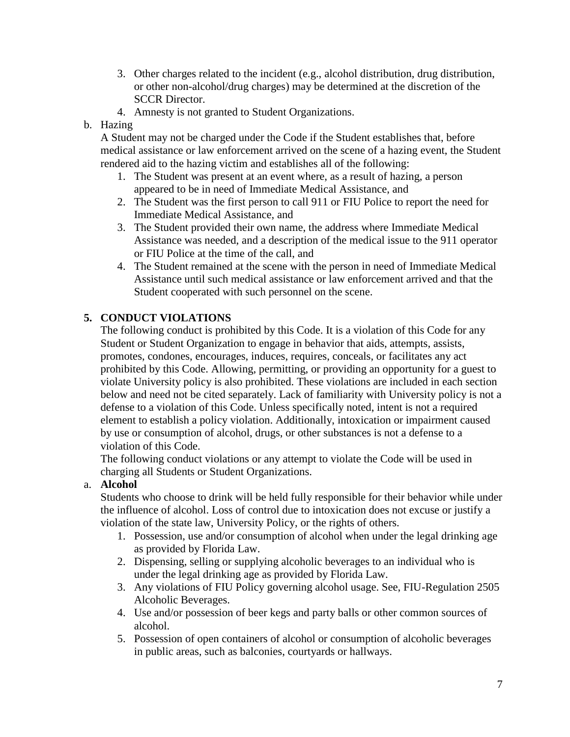- 3. Other charges related to the incident (e.g., alcohol distribution, drug distribution, or other non-alcohol/drug charges) may be determined at the discretion of the SCCR Director.
- 4. Amnesty is not granted to Student Organizations.
- b. Hazing

A Student may not be charged under the Code if the Student establishes that, before medical assistance or law enforcement arrived on the scene of a hazing event, the Student rendered aid to the hazing victim and establishes all of the following:

- 1. The Student was present at an event where, as a result of hazing, a person appeared to be in need of Immediate Medical Assistance, and
- 2. The Student was the first person to call 911 or FIU Police to report the need for Immediate Medical Assistance, and
- 3. The Student provided their own name, the address where Immediate Medical Assistance was needed, and a description of the medical issue to the 911 operator or FIU Police at the time of the call, and
- 4. The Student remained at the scene with the person in need of Immediate Medical Assistance until such medical assistance or law enforcement arrived and that the Student cooperated with such personnel on the scene.

## **5. CONDUCT VIOLATIONS**

The following conduct is prohibited by this Code. It is a violation of this Code for any Student or Student Organization to engage in behavior that aids, attempts, assists, promotes, condones, encourages, induces, requires, conceals, or facilitates any act prohibited by this Code. Allowing, permitting, or providing an opportunity for a guest to violate University policy is also prohibited. These violations are included in each section below and need not be cited separately. Lack of familiarity with University policy is not a defense to a violation of this Code. Unless specifically noted, intent is not a required element to establish a policy violation. Additionally, intoxication or impairment caused by use or consumption of alcohol, drugs, or other substances is not a defense to a violation of this Code.

The following conduct violations or any attempt to violate the Code will be used in charging all Students or Student Organizations.

#### a. **Alcohol**

Students who choose to drink will be held fully responsible for their behavior while under the influence of alcohol. Loss of control due to intoxication does not excuse or justify a violation of the state law, University Policy, or the rights of others.

- 1. Possession, use and/or consumption of alcohol when under the legal drinking age as provided by Florida Law.
- 2. Dispensing, selling or supplying alcoholic beverages to an individual who is under the legal drinking age as provided by Florida Law.
- 3. Any violations of FIU Policy governing alcohol usage. See, FIU-Regulation 2505 Alcoholic Beverages.
- 4. Use and/or possession of beer kegs and party balls or other common sources of alcohol.
- 5. Possession of open containers of alcohol or consumption of alcoholic beverages in public areas, such as balconies, courtyards or hallways.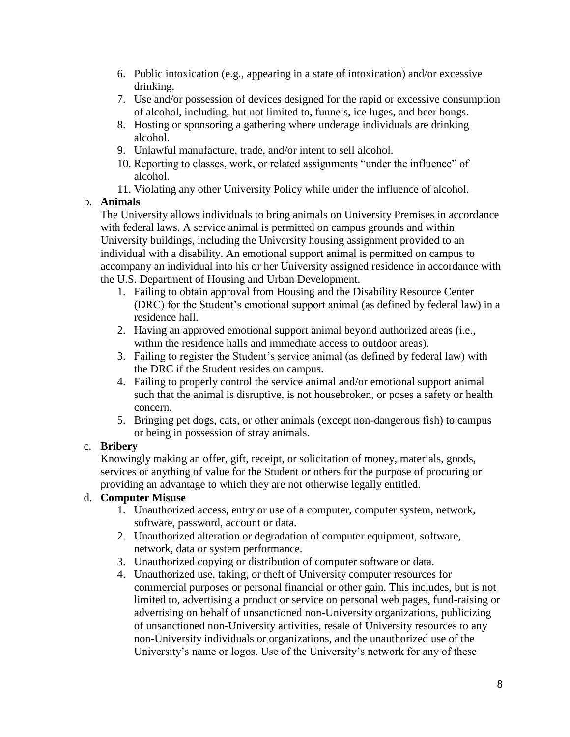- 6. Public intoxication (e.g., appearing in a state of intoxication) and/or excessive drinking.
- 7. Use and/or possession of devices designed for the rapid or excessive consumption of alcohol, including, but not limited to, funnels, ice luges, and beer bongs.
- 8. Hosting or sponsoring a gathering where underage individuals are drinking alcohol.
- 9. Unlawful manufacture, trade, and/or intent to sell alcohol.
- 10. Reporting to classes, work, or related assignments "under the influence" of alcohol.
- 11. Violating any other University Policy while under the influence of alcohol.

## b. **Animals**

The University allows individuals to bring animals on University Premises in accordance with federal laws. A service animal is permitted on campus grounds and within University buildings, including the University housing assignment provided to an individual with a disability. An emotional support animal is permitted on campus to accompany an individual into his or her University assigned residence in accordance with the U.S. Department of Housing and Urban Development.

- 1. Failing to obtain approval from Housing and the Disability Resource Center (DRC) for the Student's emotional support animal (as defined by federal law) in a residence hall.
- 2. Having an approved emotional support animal beyond authorized areas (i.e., within the residence halls and immediate access to outdoor areas).
- 3. Failing to register the Student's service animal (as defined by federal law) with the DRC if the Student resides on campus.
- 4. Failing to properly control the service animal and/or emotional support animal such that the animal is disruptive, is not housebroken, or poses a safety or health concern.
- 5. Bringing pet dogs, cats, or other animals (except non-dangerous fish) to campus or being in possession of stray animals.

# c. **Bribery**

Knowingly making an offer, gift, receipt, or solicitation of money, materials, goods, services or anything of value for the Student or others for the purpose of procuring or providing an advantage to which they are not otherwise legally entitled.

# d. **Computer Misuse**

- 1. Unauthorized access, entry or use of a computer, computer system, network, software, password, account or data.
- 2. Unauthorized alteration or degradation of computer equipment, software, network, data or system performance.
- 3. Unauthorized copying or distribution of computer software or data.
- 4. Unauthorized use, taking, or theft of University computer resources for commercial purposes or personal financial or other gain. This includes, but is not limited to, advertising a product or service on personal web pages, fund-raising or advertising on behalf of unsanctioned non-University organizations, publicizing of unsanctioned non-University activities, resale of University resources to any non-University individuals or organizations, and the unauthorized use of the University's name or logos. Use of the University's network for any of these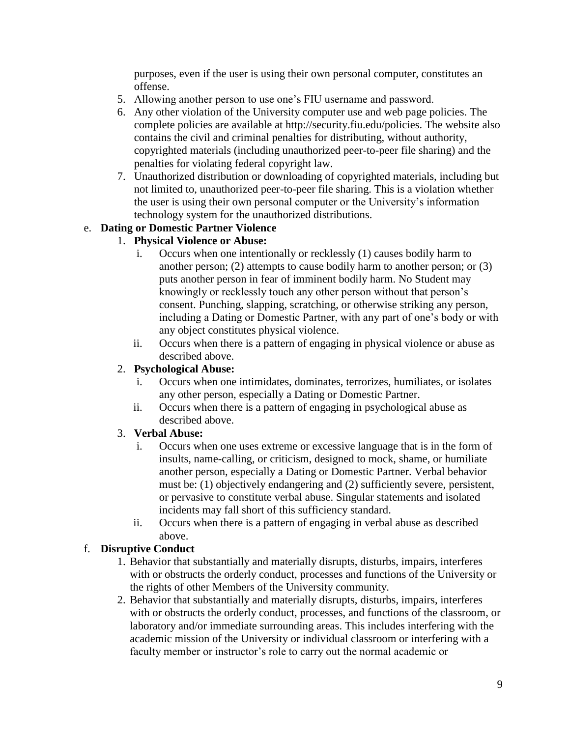purposes, even if the user is using their own personal computer, constitutes an offense.

- 5. Allowing another person to use one's FIU username and password.
- 6. Any other violation of the University computer use and web page policies. The complete policies are available at http://security.fiu.edu/policies. The website also contains the civil and criminal penalties for distributing, without authority, copyrighted materials (including unauthorized peer-to-peer file sharing) and the penalties for violating federal copyright law.
- 7. Unauthorized distribution or downloading of copyrighted materials, including but not limited to, unauthorized peer-to-peer file sharing. This is a violation whether the user is using their own personal computer or the University's information technology system for the unauthorized distributions.

## e. **Dating or Domestic Partner Violence**

#### 1. **Physical Violence or Abuse:**

- i. Occurs when one intentionally or recklessly (1) causes bodily harm to another person; (2) attempts to cause bodily harm to another person; or (3) puts another person in fear of imminent bodily harm. No Student may knowingly or recklessly touch any other person without that person's consent. Punching, slapping, scratching, or otherwise striking any person, including a Dating or Domestic Partner, with any part of one's body or with any object constitutes physical violence.
- ii. Occurs when there is a pattern of engaging in physical violence or abuse as described above.

#### 2. **Psychological Abuse:**

- i. Occurs when one intimidates, dominates, terrorizes, humiliates, or isolates any other person, especially a Dating or Domestic Partner.
- ii. Occurs when there is a pattern of engaging in psychological abuse as described above.

#### 3. **Verbal Abuse:**

- i. Occurs when one uses extreme or excessive language that is in the form of insults, name-calling, or criticism, designed to mock, shame, or humiliate another person, especially a Dating or Domestic Partner. Verbal behavior must be: (1) objectively endangering and (2) sufficiently severe, persistent, or pervasive to constitute verbal abuse. Singular statements and isolated incidents may fall short of this sufficiency standard.
- ii. Occurs when there is a pattern of engaging in verbal abuse as described above.

#### f. **Disruptive Conduct**

- 1. Behavior that substantially and materially disrupts, disturbs, impairs, interferes with or obstructs the orderly conduct, processes and functions of the University or the rights of other Members of the University community.
- 2. Behavior that substantially and materially disrupts, disturbs, impairs, interferes with or obstructs the orderly conduct, processes, and functions of the classroom, or laboratory and/or immediate surrounding areas. This includes interfering with the academic mission of the University or individual classroom or interfering with a faculty member or instructor's role to carry out the normal academic or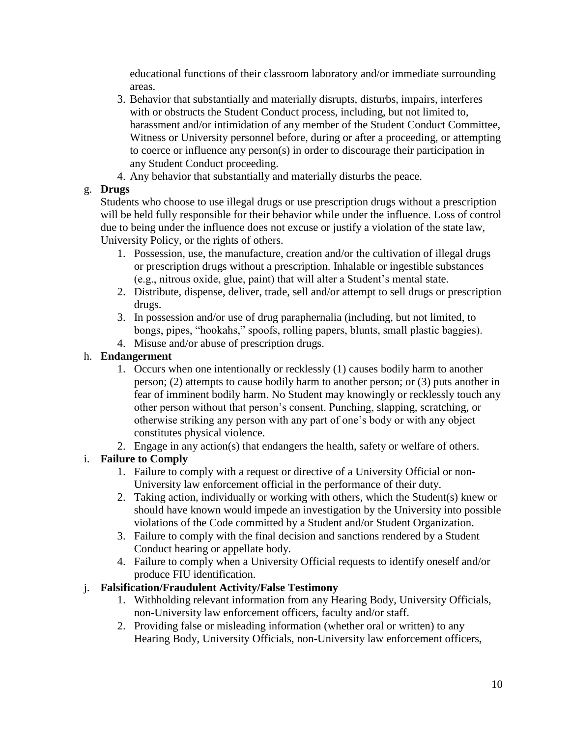educational functions of their classroom laboratory and/or immediate surrounding areas.

- 3. Behavior that substantially and materially disrupts, disturbs, impairs, interferes with or obstructs the Student Conduct process, including, but not limited to, harassment and/or intimidation of any member of the Student Conduct Committee, Witness or University personnel before, during or after a proceeding, or attempting to coerce or influence any person(s) in order to discourage their participation in any Student Conduct proceeding.
- 4. Any behavior that substantially and materially disturbs the peace.

## g. **Drugs**

Students who choose to use illegal drugs or use prescription drugs without a prescription will be held fully responsible for their behavior while under the influence. Loss of control due to being under the influence does not excuse or justify a violation of the state law, University Policy, or the rights of others.

- 1. Possession, use, the manufacture, creation and/or the cultivation of illegal drugs or prescription drugs without a prescription. Inhalable or ingestible substances (e.g., nitrous oxide, glue, paint) that will alter a Student's mental state.
- 2. Distribute, dispense, deliver, trade, sell and/or attempt to sell drugs or prescription drugs.
- 3. In possession and/or use of drug paraphernalia (including, but not limited, to bongs, pipes, "hookahs," spoofs, rolling papers, blunts, small plastic baggies).
- 4. Misuse and/or abuse of prescription drugs.

### h. **Endangerment**

- 1. Occurs when one intentionally or recklessly (1) causes bodily harm to another person; (2) attempts to cause bodily harm to another person; or (3) puts another in fear of imminent bodily harm. No Student may knowingly or recklessly touch any other person without that person's consent. Punching, slapping, scratching, or otherwise striking any person with any part of one's body or with any object constitutes physical violence.
- 2. Engage in any action(s) that endangers the health, safety or welfare of others.

## i. **Failure to Comply**

- 1. Failure to comply with a request or directive of a University Official or non-University law enforcement official in the performance of their duty.
- 2. Taking action, individually or working with others, which the Student(s) knew or should have known would impede an investigation by the University into possible violations of the Code committed by a Student and/or Student Organization.
- 3. Failure to comply with the final decision and sanctions rendered by a Student Conduct hearing or appellate body.
- 4. Failure to comply when a University Official requests to identify oneself and/or produce FIU identification.

## j. **Falsification/Fraudulent Activity/False Testimony**

- 1. Withholding relevant information from any Hearing Body, University Officials, non-University law enforcement officers, faculty and/or staff.
- 2. Providing false or misleading information (whether oral or written) to any Hearing Body, University Officials, non-University law enforcement officers,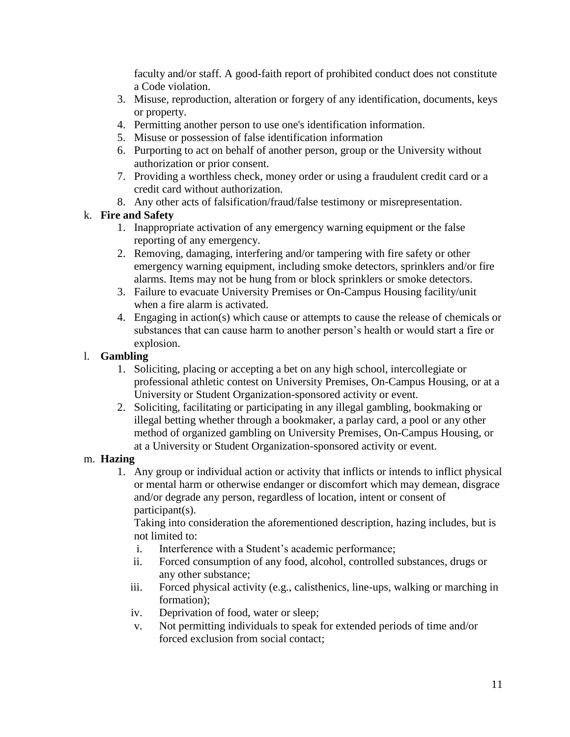faculty and/or staff. A good-faith report of prohibited conduct does not constitute a Code violation.

- 3. Misuse, reproduction, alteration or forgery of any identification, documents, keys or property.
- 4. Permitting another person to use one's identification information.
- 5. Misuse or possession of false identification information
- 6. Purporting to act on behalf of another person, group or the University without authorization or prior consent.
- 7. Providing a worthless check, money order or using a fraudulent credit card or a credit card without authorization.
- 8. Any other acts of falsification/fraud/false testimony or misrepresentation.

## k. **Fire and Safety**

- 1. Inappropriate activation of any emergency warning equipment or the false reporting of any emergency.
- 2. Removing, damaging, interfering and/or tampering with fire safety or other emergency warning equipment, including smoke detectors, sprinklers and/or fire alarms. Items may not be hung from or block sprinklers or smoke detectors.
- 3. Failure to evacuate University Premises or On-Campus Housing facility/unit when a fire alarm is activated.
- 4. Engaging in action(s) which cause or attempts to cause the release of chemicals or substances that can cause harm to another person's health or would start a fire or explosion.

## l. **Gambling**

- 1. Soliciting, placing or accepting a bet on any high school, intercollegiate or professional athletic contest on University Premises, On-Campus Housing, or at a University or Student Organization-sponsored activity or event.
- 2. Soliciting, facilitating or participating in any illegal gambling, bookmaking or illegal betting whether through a bookmaker, a parlay card, a pool or any other method of organized gambling on University Premises, On-Campus Housing, or at a University or Student Organization-sponsored activity or event.

## m. **Hazing**

1. Any group or individual action or activity that inflicts or intends to inflict physical or mental harm or otherwise endanger or discomfort which may demean, disgrace and/or degrade any person, regardless of location, intent or consent of participant(s).

Taking into consideration the aforementioned description, hazing includes, but is not limited to:

- i. Interference with a Student's academic performance;
- ii. Forced consumption of any food, alcohol, controlled substances, drugs or any other substance;
- iii. Forced physical activity (e.g., calisthenics, line-ups, walking or marching in formation);
- iv. Deprivation of food, water or sleep;
- v. Not permitting individuals to speak for extended periods of time and/or forced exclusion from social contact;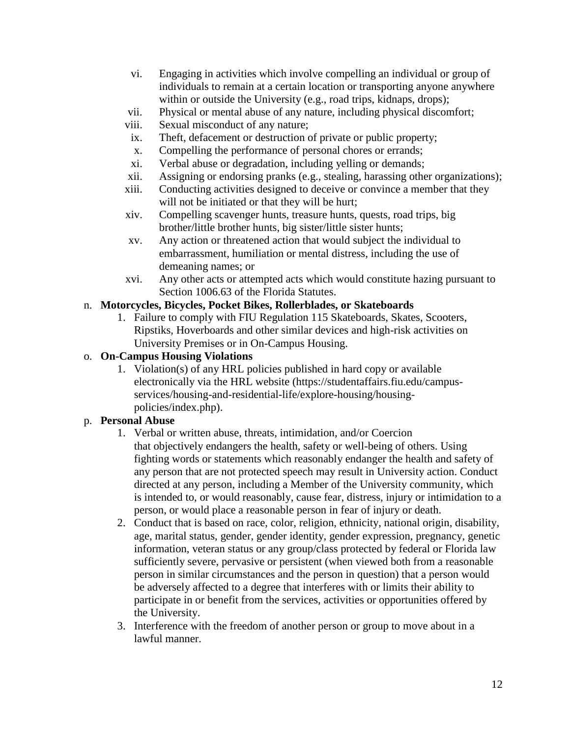- vi. Engaging in activities which involve compelling an individual or group of individuals to remain at a certain location or transporting anyone anywhere within or outside the University (e.g., road trips, kidnaps, drops);
- vii. Physical or mental abuse of any nature, including physical discomfort;
- viii. Sexual misconduct of any nature;
- ix. Theft, defacement or destruction of private or public property;
- x. Compelling the performance of personal chores or errands;
- xi. Verbal abuse or degradation, including yelling or demands;
- xii. Assigning or endorsing pranks (e.g., stealing, harassing other organizations);
- xiii. Conducting activities designed to deceive or convince a member that they will not be initiated or that they will be hurt;
- xiv. Compelling scavenger hunts, treasure hunts, quests, road trips, big brother/little brother hunts, big sister/little sister hunts;
- xv. Any action or threatened action that would subject the individual to embarrassment, humiliation or mental distress, including the use of demeaning names; or
- xvi. Any other acts or attempted acts which would constitute hazing pursuant to Section 1006.63 of the Florida Statutes.

### n. **Motorcycles, Bicycles, Pocket Bikes, Rollerblades, or Skateboards**

1. Failure to comply with FIU Regulation 115 Skateboards, Skates, Scooters, Ripstiks, Hoverboards and other similar devices and high-risk activities on University Premises or in On-Campus Housing.

### o. **On-Campus Housing Violations**

1. Violation(s) of any HRL policies published in hard copy or available electronically via the HRL website (https://studentaffairs.fiu.edu/campusservices/housing-and-residential-life/explore-housing/housingpolicies/index.php).

# p. **Personal Abuse**

- 1. Verbal or written abuse, threats, intimidation, and/or Coercion that objectively endangers the health, safety or well-being of others. Using fighting words or statements which reasonably endanger the health and safety of any person that are not protected speech may result in University action. Conduct directed at any person, including a Member of the University community, which is intended to, or would reasonably, cause fear, distress, injury or intimidation to a person, or would place a reasonable person in fear of injury or death.
- 2. Conduct that is based on race, color, religion, ethnicity, national origin, disability, age, marital status, gender, gender identity, gender expression, pregnancy, genetic information, veteran status or any group/class protected by federal or Florida law sufficiently severe, pervasive or persistent (when viewed both from a reasonable person in similar circumstances and the person in question) that a person would be adversely affected to a degree that interferes with or limits their ability to participate in or benefit from the services, activities or opportunities offered by the University.
- 3. Interference with the freedom of another person or group to move about in a lawful manner.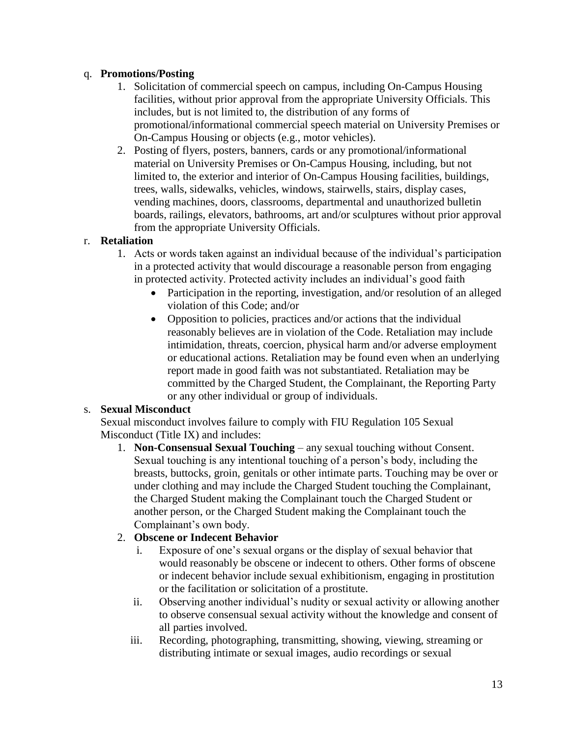#### q. **Promotions/Posting**

- 1. Solicitation of commercial speech on campus, including On-Campus Housing facilities, without prior approval from the appropriate University Officials. This includes, but is not limited to, the distribution of any forms of promotional/informational commercial speech material on University Premises or On-Campus Housing or objects (e.g., motor vehicles).
- 2. Posting of flyers, posters, banners, cards or any promotional/informational material on University Premises or On-Campus Housing, including, but not limited to, the exterior and interior of On-Campus Housing facilities, buildings, trees, walls, sidewalks, vehicles, windows, stairwells, stairs, display cases, vending machines, doors, classrooms, departmental and unauthorized bulletin boards, railings, elevators, bathrooms, art and/or sculptures without prior approval from the appropriate University Officials.

#### r. **Retaliation**

- 1. Acts or words taken against an individual because of the individual's participation in a protected activity that would discourage a reasonable person from engaging in protected activity. Protected activity includes an individual's good faith
	- Participation in the reporting, investigation, and/or resolution of an alleged violation of this Code; and/or
	- Opposition to policies, practices and/or actions that the individual reasonably believes are in violation of the Code. Retaliation may include intimidation, threats, coercion, physical harm and/or adverse employment or educational actions. Retaliation may be found even when an underlying report made in good faith was not substantiated. Retaliation may be committed by the Charged Student, the Complainant, the Reporting Party or any other individual or group of individuals.

#### s. **Sexual Misconduct**

Sexual misconduct involves failure to comply with FIU Regulation 105 Sexual Misconduct (Title IX) and includes:

1. **Non-Consensual Sexual Touching** – any sexual touching without Consent. Sexual touching is any intentional touching of a person's body, including the breasts, buttocks, groin, genitals or other intimate parts. Touching may be over or under clothing and may include the Charged Student touching the Complainant, the Charged Student making the Complainant touch the Charged Student or another person, or the Charged Student making the Complainant touch the Complainant's own body.

#### 2. **Obscene or Indecent Behavior**

- i. Exposure of one's sexual organs or the display of sexual behavior that would reasonably be obscene or indecent to others. Other forms of obscene or indecent behavior include sexual exhibitionism, engaging in prostitution or the facilitation or solicitation of a prostitute.
- ii. Observing another individual's nudity or sexual activity or allowing another to observe consensual sexual activity without the knowledge and consent of all parties involved.
- iii. Recording, photographing, transmitting, showing, viewing, streaming or distributing intimate or sexual images, audio recordings or sexual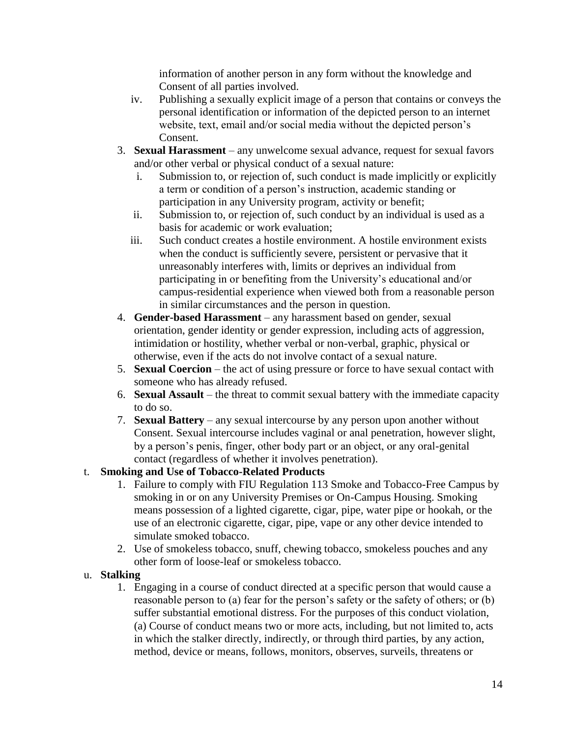information of another person in any form without the knowledge and Consent of all parties involved.

- iv. Publishing a sexually explicit image of a person that contains or conveys the personal identification or information of the depicted person to an internet website, text, email and/or social media without the depicted person's Consent.
- 3. **Sexual Harassment** any unwelcome sexual advance, request for sexual favors and/or other verbal or physical conduct of a sexual nature:
	- i. Submission to, or rejection of, such conduct is made implicitly or explicitly a term or condition of a person's instruction, academic standing or participation in any University program, activity or benefit;
	- ii. Submission to, or rejection of, such conduct by an individual is used as a basis for academic or work evaluation;
	- iii. Such conduct creates a hostile environment. A hostile environment exists when the conduct is sufficiently severe, persistent or pervasive that it unreasonably interferes with, limits or deprives an individual from participating in or benefiting from the University's educational and/or campus-residential experience when viewed both from a reasonable person in similar circumstances and the person in question.
- 4. **Gender-based Harassment** any harassment based on gender, sexual orientation, gender identity or gender expression, including acts of aggression, intimidation or hostility, whether verbal or non-verbal, graphic, physical or otherwise, even if the acts do not involve contact of a sexual nature.
- 5. **Sexual Coercion** the act of using pressure or force to have sexual contact with someone who has already refused.
- 6. **Sexual Assault** the threat to commit sexual battery with the immediate capacity to do so.
- 7. **Sexual Battery** any sexual intercourse by any person upon another without Consent. Sexual intercourse includes vaginal or anal penetration, however slight, by a person's penis, finger, other body part or an object, or any oral-genital contact (regardless of whether it involves penetration).

## t. **Smoking and Use of Tobacco-Related Products**

- 1. Failure to comply with FIU Regulation 113 Smoke and Tobacco-Free Campus by smoking in or on any University Premises or On-Campus Housing. Smoking means possession of a lighted cigarette, cigar, pipe, water pipe or hookah, or the use of an electronic cigarette, cigar, pipe, vape or any other device intended to simulate smoked tobacco.
- 2. Use of smokeless tobacco, snuff, chewing tobacco, smokeless pouches and any other form of loose-leaf or smokeless tobacco.

# u. **Stalking**

1. Engaging in a course of conduct directed at a specific person that would cause a reasonable person to (a) fear for the person's safety or the safety of others; or (b) suffer substantial emotional distress. For the purposes of this conduct violation, (a) Course of conduct means two or more acts, including, but not limited to, acts in which the stalker directly, indirectly, or through third parties, by any action, method, device or means, follows, monitors, observes, surveils, threatens or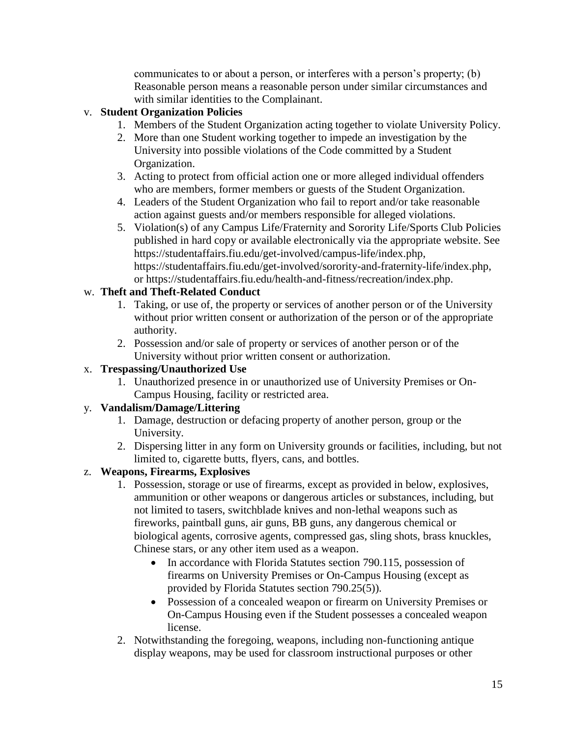communicates to or about a person, or interferes with a person's property; (b) Reasonable person means a reasonable person under similar circumstances and with similar identities to the Complainant.

### v. **Student Organization Policies**

- 1. Members of the Student Organization acting together to violate University Policy.
- 2. More than one Student working together to impede an investigation by the University into possible violations of the Code committed by a Student Organization.
- 3. Acting to protect from official action one or more alleged individual offenders who are members, former members or guests of the Student Organization.
- 4. Leaders of the Student Organization who fail to report and/or take reasonable action against guests and/or members responsible for alleged violations.
- 5. Violation(s) of any Campus Life/Fraternity and Sorority Life/Sports Club Policies published in hard copy or available electronically via the appropriate website. See https://studentaffairs.fiu.edu/get-involved/campus-life/index.php, https://studentaffairs.fiu.edu/get-involved/sorority-and-fraternity-life/index.php, or https://studentaffairs.fiu.edu/health-and-fitness/recreation/index.php.

### w. **Theft and Theft-Related Conduct**

- 1. Taking, or use of, the property or services of another person or of the University without prior written consent or authorization of the person or of the appropriate authority.
- 2. Possession and/or sale of property or services of another person or of the University without prior written consent or authorization.

### x. **Trespassing/Unauthorized Use**

1. Unauthorized presence in or unauthorized use of University Premises or On-Campus Housing, facility or restricted area.

#### y. **Vandalism/Damage/Littering**

- 1. Damage, destruction or defacing property of another person, group or the University.
- 2. Dispersing litter in any form on University grounds or facilities, including, but not limited to, cigarette butts, flyers, cans, and bottles.

## z. **Weapons, Firearms, Explosives**

- 1. Possession, storage or use of firearms, except as provided in below, explosives, ammunition or other weapons or dangerous articles or substances, including, but not limited to tasers, switchblade knives and non-lethal weapons such as fireworks, paintball guns, air guns, BB guns, any dangerous chemical or biological agents, corrosive agents, compressed gas, sling shots, brass knuckles, Chinese stars, or any other item used as a weapon.
	- In accordance with Florida Statutes section 790.115, possession of firearms on University Premises or On-Campus Housing (except as provided by Florida Statutes section 790.25(5)).
	- Possession of a concealed weapon or firearm on University Premises or On-Campus Housing even if the Student possesses a concealed weapon license.
- 2. Notwithstanding the foregoing, weapons, including non-functioning antique display weapons, may be used for classroom instructional purposes or other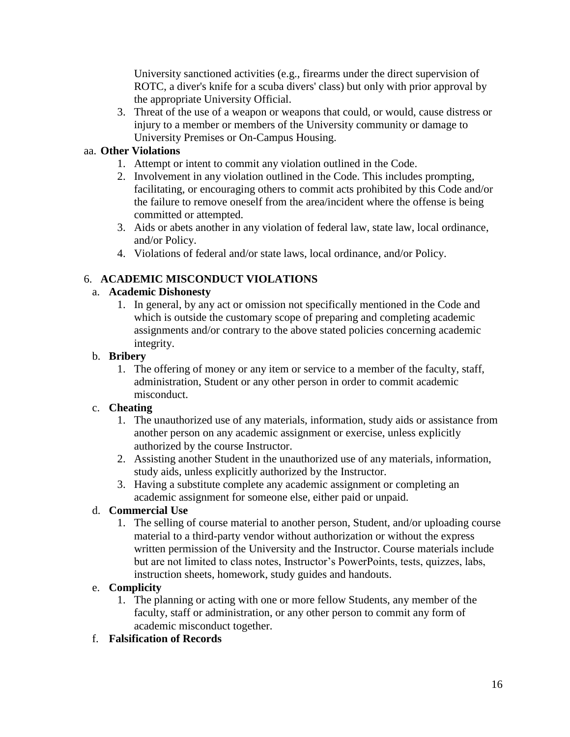University sanctioned activities (e.g., firearms under the direct supervision of ROTC, a diver's knife for a scuba divers' class) but only with prior approval by the appropriate University Official.

3. Threat of the use of a weapon or weapons that could, or would, cause distress or injury to a member or members of the University community or damage to University Premises or On-Campus Housing.

### aa. **Other Violations**

- 1. Attempt or intent to commit any violation outlined in the Code.
- 2. Involvement in any violation outlined in the Code. This includes prompting, facilitating, or encouraging others to commit acts prohibited by this Code and/or the failure to remove oneself from the area/incident where the offense is being committed or attempted.
- 3. Aids or abets another in any violation of federal law, state law, local ordinance, and/or Policy.
- 4. Violations of federal and/or state laws, local ordinance, and/or Policy.

## 6. **ACADEMIC MISCONDUCT VIOLATIONS**

### a. **Academic Dishonesty**

1. In general, by any act or omission not specifically mentioned in the Code and which is outside the customary scope of preparing and completing academic assignments and/or contrary to the above stated policies concerning academic integrity.

### b. **Bribery**

1. The offering of money or any item or service to a member of the faculty, staff, administration, Student or any other person in order to commit academic misconduct.

## c. **Cheating**

- 1. The unauthorized use of any materials, information, study aids or assistance from another person on any academic assignment or exercise, unless explicitly authorized by the course Instructor.
- 2. Assisting another Student in the unauthorized use of any materials, information, study aids, unless explicitly authorized by the Instructor.
- 3. Having a substitute complete any academic assignment or completing an academic assignment for someone else, either paid or unpaid.

## d. **Commercial Use**

1. The selling of course material to another person, Student, and/or uploading course material to a third-party vendor without authorization or without the express written permission of the University and the Instructor. Course materials include but are not limited to class notes, Instructor's PowerPoints, tests, quizzes, labs, instruction sheets, homework, study guides and handouts.

## e. **Complicity**

1. The planning or acting with one or more fellow Students, any member of the faculty, staff or administration, or any other person to commit any form of academic misconduct together.

#### f. **Falsification of Records**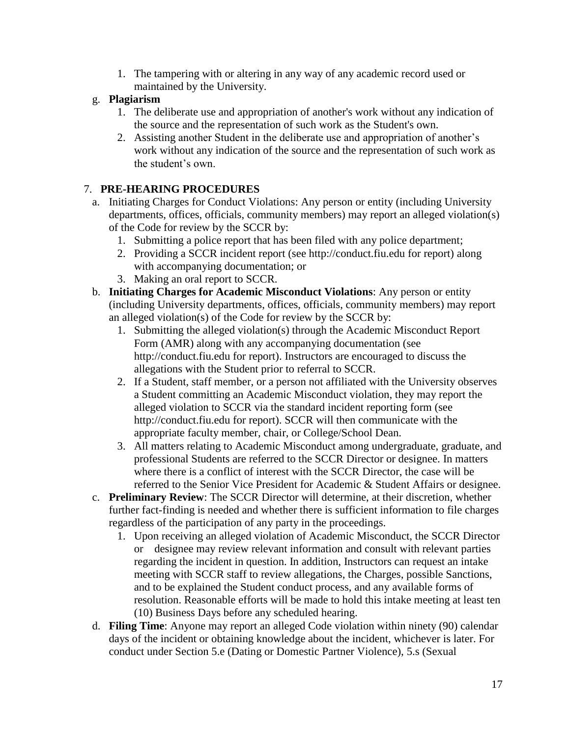1. The tampering with or altering in any way of any academic record used or maintained by the University.

#### g. **Plagiarism**

- 1. The deliberate use and appropriation of another's work without any indication of the source and the representation of such work as the Student's own.
- 2. Assisting another Student in the deliberate use and appropriation of another's work without any indication of the source and the representation of such work as the student's own.

## 7. **PRE-HEARING PROCEDURES**

- a. Initiating Charges for Conduct Violations: Any person or entity (including University departments, offices, officials, community members) may report an alleged violation(s) of the Code for review by the SCCR by:
	- 1. Submitting a police report that has been filed with any police department;
	- 2. Providing a SCCR incident report (see http://conduct.fiu.edu for report) along with accompanying documentation; or
	- 3. Making an oral report to SCCR.
- b. **Initiating Charges for Academic Misconduct Violations**: Any person or entity (including University departments, offices, officials, community members) may report an alleged violation(s) of the Code for review by the SCCR by:
	- 1. Submitting the alleged violation(s) through the Academic Misconduct Report Form (AMR) along with any accompanying documentation (see http://conduct.fiu.edu for report). Instructors are encouraged to discuss the allegations with the Student prior to referral to SCCR.
	- 2. If a Student, staff member, or a person not affiliated with the University observes a Student committing an Academic Misconduct violation, they may report the alleged violation to SCCR via the standard incident reporting form (see http://conduct.fiu.edu for report). SCCR will then communicate with the appropriate faculty member, chair, or College/School Dean.
	- 3. All matters relating to Academic Misconduct among undergraduate, graduate, and professional Students are referred to the SCCR Director or designee. In matters where there is a conflict of interest with the SCCR Director, the case will be referred to the Senior Vice President for Academic & Student Affairs or designee.
- c. **Preliminary Review**: The SCCR Director will determine, at their discretion, whether further fact-finding is needed and whether there is sufficient information to file charges regardless of the participation of any party in the proceedings.
	- 1. Upon receiving an alleged violation of Academic Misconduct, the SCCR Director or designee may review relevant information and consult with relevant parties regarding the incident in question. In addition, Instructors can request an intake meeting with SCCR staff to review allegations, the Charges, possible Sanctions, and to be explained the Student conduct process, and any available forms of resolution. Reasonable efforts will be made to hold this intake meeting at least ten (10) Business Days before any scheduled hearing.
- d. **Filing Time**: Anyone may report an alleged Code violation within ninety (90) calendar days of the incident or obtaining knowledge about the incident, whichever is later. For conduct under Section 5.e (Dating or Domestic Partner Violence), 5.s (Sexual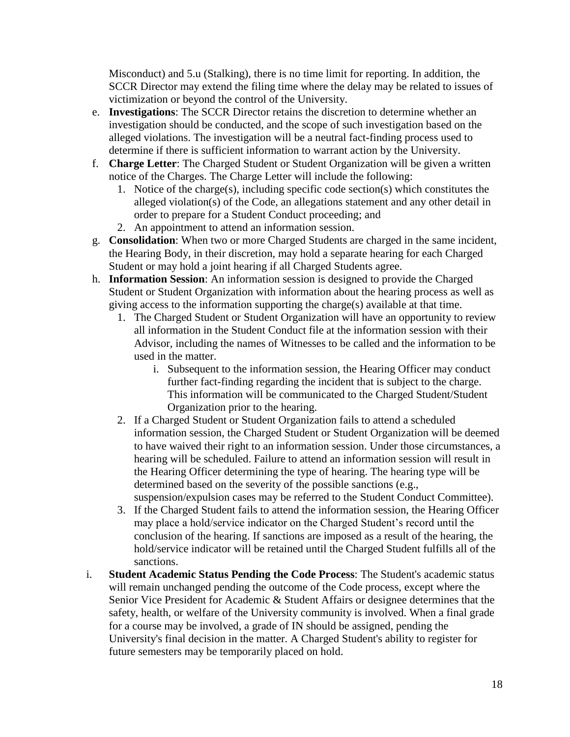Misconduct) and 5.u (Stalking), there is no time limit for reporting. In addition, the SCCR Director may extend the filing time where the delay may be related to issues of victimization or beyond the control of the University.

- e. **Investigations**: The SCCR Director retains the discretion to determine whether an investigation should be conducted, and the scope of such investigation based on the alleged violations. The investigation will be a neutral fact-finding process used to determine if there is sufficient information to warrant action by the University.
- f. **Charge Letter**: The Charged Student or Student Organization will be given a written notice of the Charges. The Charge Letter will include the following:
	- 1. Notice of the charge(s), including specific code section(s) which constitutes the alleged violation(s) of the Code, an allegations statement and any other detail in order to prepare for a Student Conduct proceeding; and
	- 2. An appointment to attend an information session.
- g. **Consolidation**: When two or more Charged Students are charged in the same incident, the Hearing Body, in their discretion, may hold a separate hearing for each Charged Student or may hold a joint hearing if all Charged Students agree.
- h. **Information Session**: An information session is designed to provide the Charged Student or Student Organization with information about the hearing process as well as giving access to the information supporting the charge(s) available at that time.
	- 1. The Charged Student or Student Organization will have an opportunity to review all information in the Student Conduct file at the information session with their Advisor, including the names of Witnesses to be called and the information to be used in the matter.
		- i. Subsequent to the information session, the Hearing Officer may conduct further fact-finding regarding the incident that is subject to the charge. This information will be communicated to the Charged Student/Student Organization prior to the hearing.
	- 2. If a Charged Student or Student Organization fails to attend a scheduled information session, the Charged Student or Student Organization will be deemed to have waived their right to an information session. Under those circumstances, a hearing will be scheduled. Failure to attend an information session will result in the Hearing Officer determining the type of hearing. The hearing type will be determined based on the severity of the possible sanctions (e.g., suspension/expulsion cases may be referred to the Student Conduct Committee).
	- 3. If the Charged Student fails to attend the information session, the Hearing Officer may place a hold/service indicator on the Charged Student's record until the conclusion of the hearing. If sanctions are imposed as a result of the hearing, the hold/service indicator will be retained until the Charged Student fulfills all of the sanctions.
- i. **Student Academic Status Pending the Code Process**: The Student's academic status will remain unchanged pending the outcome of the Code process, except where the Senior Vice President for Academic & Student Affairs or designee determines that the safety, health, or welfare of the University community is involved. When a final grade for a course may be involved, a grade of IN should be assigned, pending the University's final decision in the matter. A Charged Student's ability to register for future semesters may be temporarily placed on hold.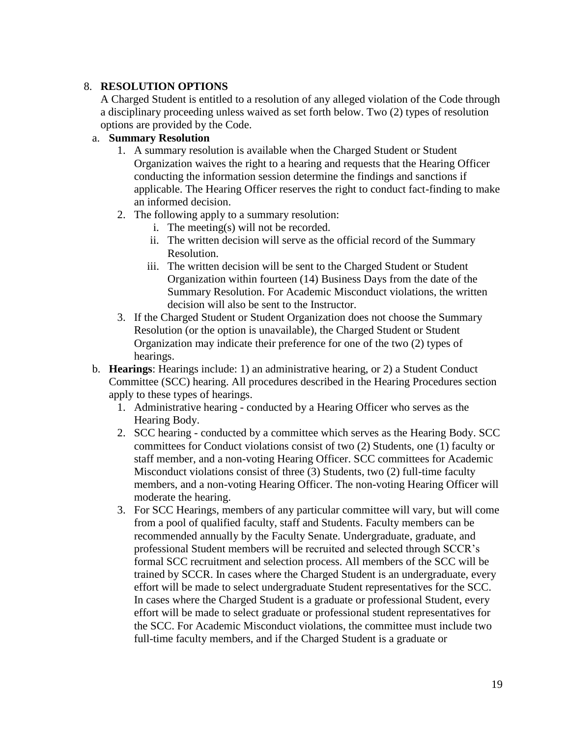#### 8. **RESOLUTION OPTIONS**

A Charged Student is entitled to a resolution of any alleged violation of the Code through a disciplinary proceeding unless waived as set forth below. Two (2) types of resolution options are provided by the Code.

#### a. **Summary Resolution**

- 1. A summary resolution is available when the Charged Student or Student Organization waives the right to a hearing and requests that the Hearing Officer conducting the information session determine the findings and sanctions if applicable. The Hearing Officer reserves the right to conduct fact-finding to make an informed decision.
- 2. The following apply to a summary resolution:
	- i. The meeting(s) will not be recorded.
	- ii. The written decision will serve as the official record of the Summary Resolution.
	- iii. The written decision will be sent to the Charged Student or Student Organization within fourteen (14) Business Days from the date of the Summary Resolution. For Academic Misconduct violations, the written decision will also be sent to the Instructor.
- 3. If the Charged Student or Student Organization does not choose the Summary Resolution (or the option is unavailable), the Charged Student or Student Organization may indicate their preference for one of the two (2) types of hearings.
- b. **Hearings**: Hearings include: 1) an administrative hearing, or 2) a Student Conduct Committee (SCC) hearing. All procedures described in the Hearing Procedures section apply to these types of hearings.
	- 1. Administrative hearing conducted by a Hearing Officer who serves as the Hearing Body.
	- 2. SCC hearing conducted by a committee which serves as the Hearing Body. SCC committees for Conduct violations consist of two (2) Students, one (1) faculty or staff member, and a non-voting Hearing Officer. SCC committees for Academic Misconduct violations consist of three (3) Students, two (2) full-time faculty members, and a non-voting Hearing Officer. The non-voting Hearing Officer will moderate the hearing.
	- 3. For SCC Hearings, members of any particular committee will vary, but will come from a pool of qualified faculty, staff and Students. Faculty members can be recommended annually by the Faculty Senate. Undergraduate, graduate, and professional Student members will be recruited and selected through SCCR's formal SCC recruitment and selection process. All members of the SCC will be trained by SCCR. In cases where the Charged Student is an undergraduate, every effort will be made to select undergraduate Student representatives for the SCC. In cases where the Charged Student is a graduate or professional Student, every effort will be made to select graduate or professional student representatives for the SCC. For Academic Misconduct violations, the committee must include two full-time faculty members, and if the Charged Student is a graduate or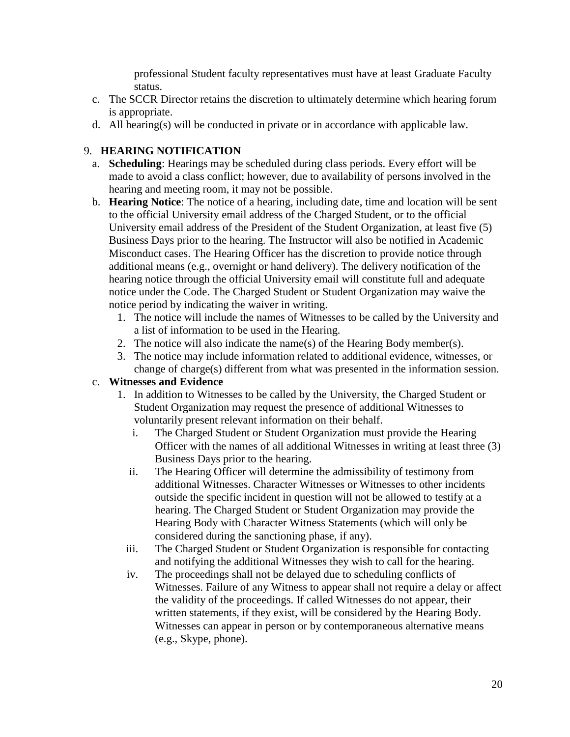professional Student faculty representatives must have at least Graduate Faculty status.

- c. The SCCR Director retains the discretion to ultimately determine which hearing forum is appropriate.
- d. All hearing(s) will be conducted in private or in accordance with applicable law.

## 9. **HEARING NOTIFICATION**

- a. **Scheduling**: Hearings may be scheduled during class periods. Every effort will be made to avoid a class conflict; however, due to availability of persons involved in the hearing and meeting room, it may not be possible.
- b. **Hearing Notice**: The notice of a hearing, including date, time and location will be sent to the official University email address of the Charged Student, or to the official University email address of the President of the Student Organization, at least five (5) Business Days prior to the hearing. The Instructor will also be notified in Academic Misconduct cases. The Hearing Officer has the discretion to provide notice through additional means (e.g., overnight or hand delivery). The delivery notification of the hearing notice through the official University email will constitute full and adequate notice under the Code. The Charged Student or Student Organization may waive the notice period by indicating the waiver in writing.
	- 1. The notice will include the names of Witnesses to be called by the University and a list of information to be used in the Hearing.
	- 2. The notice will also indicate the name(s) of the Hearing Body member(s).
	- 3. The notice may include information related to additional evidence, witnesses, or change of charge(s) different from what was presented in the information session.

## c. **Witnesses and Evidence**

- 1. In addition to Witnesses to be called by the University, the Charged Student or Student Organization may request the presence of additional Witnesses to voluntarily present relevant information on their behalf.
	- i. The Charged Student or Student Organization must provide the Hearing Officer with the names of all additional Witnesses in writing at least three (3) Business Days prior to the hearing.
	- ii. The Hearing Officer will determine the admissibility of testimony from additional Witnesses. Character Witnesses or Witnesses to other incidents outside the specific incident in question will not be allowed to testify at a hearing. The Charged Student or Student Organization may provide the Hearing Body with Character Witness Statements (which will only be considered during the sanctioning phase, if any).
	- iii. The Charged Student or Student Organization is responsible for contacting and notifying the additional Witnesses they wish to call for the hearing.
	- iv. The proceedings shall not be delayed due to scheduling conflicts of Witnesses. Failure of any Witness to appear shall not require a delay or affect the validity of the proceedings. If called Witnesses do not appear, their written statements, if they exist, will be considered by the Hearing Body. Witnesses can appear in person or by contemporaneous alternative means (e.g., Skype, phone).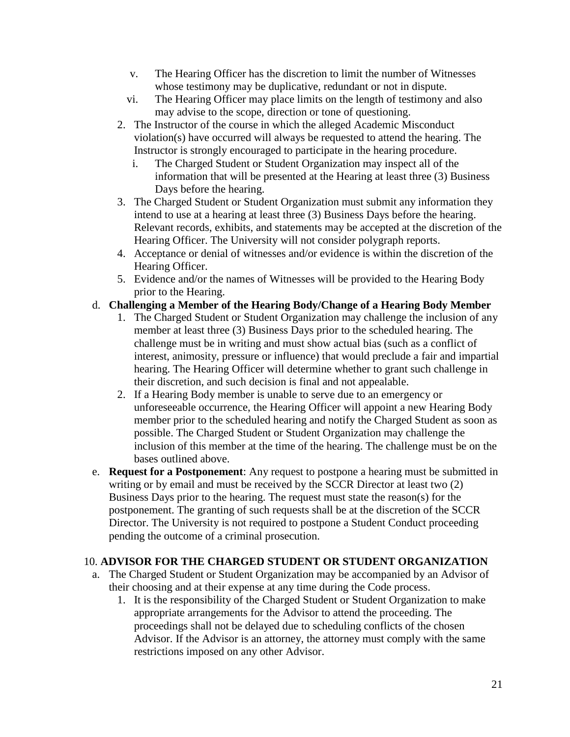- v. The Hearing Officer has the discretion to limit the number of Witnesses whose testimony may be duplicative, redundant or not in dispute.
- vi. The Hearing Officer may place limits on the length of testimony and also may advise to the scope, direction or tone of questioning.
- 2. The Instructor of the course in which the alleged Academic Misconduct violation(s) have occurred will always be requested to attend the hearing. The Instructor is strongly encouraged to participate in the hearing procedure.
	- i. The Charged Student or Student Organization may inspect all of the information that will be presented at the Hearing at least three (3) Business Days before the hearing.
- 3. The Charged Student or Student Organization must submit any information they intend to use at a hearing at least three (3) Business Days before the hearing. Relevant records, exhibits, and statements may be accepted at the discretion of the Hearing Officer. The University will not consider polygraph reports.
- 4. Acceptance or denial of witnesses and/or evidence is within the discretion of the Hearing Officer.
- 5. Evidence and/or the names of Witnesses will be provided to the Hearing Body prior to the Hearing.

### d. **Challenging a Member of the Hearing Body/Change of a Hearing Body Member**

- 1. The Charged Student or Student Organization may challenge the inclusion of any member at least three (3) Business Days prior to the scheduled hearing. The challenge must be in writing and must show actual bias (such as a conflict of interest, animosity, pressure or influence) that would preclude a fair and impartial hearing. The Hearing Officer will determine whether to grant such challenge in their discretion, and such decision is final and not appealable.
- 2. If a Hearing Body member is unable to serve due to an emergency or unforeseeable occurrence, the Hearing Officer will appoint a new Hearing Body member prior to the scheduled hearing and notify the Charged Student as soon as possible. The Charged Student or Student Organization may challenge the inclusion of this member at the time of the hearing. The challenge must be on the bases outlined above.
- e. **Request for a Postponement**: Any request to postpone a hearing must be submitted in writing or by email and must be received by the SCCR Director at least two (2) Business Days prior to the hearing. The request must state the reason(s) for the postponement. The granting of such requests shall be at the discretion of the SCCR Director. The University is not required to postpone a Student Conduct proceeding pending the outcome of a criminal prosecution.

#### 10. **ADVISOR FOR THE CHARGED STUDENT OR STUDENT ORGANIZATION**

- a. The Charged Student or Student Organization may be accompanied by an Advisor of their choosing and at their expense at any time during the Code process.
	- 1. It is the responsibility of the Charged Student or Student Organization to make appropriate arrangements for the Advisor to attend the proceeding. The proceedings shall not be delayed due to scheduling conflicts of the chosen Advisor. If the Advisor is an attorney, the attorney must comply with the same restrictions imposed on any other Advisor.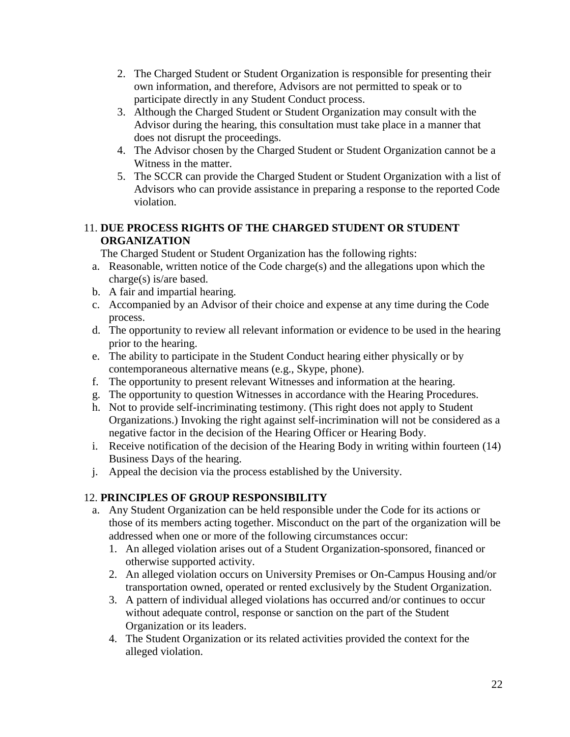- 2. The Charged Student or Student Organization is responsible for presenting their own information, and therefore, Advisors are not permitted to speak or to participate directly in any Student Conduct process.
- 3. Although the Charged Student or Student Organization may consult with the Advisor during the hearing, this consultation must take place in a manner that does not disrupt the proceedings.
- 4. The Advisor chosen by the Charged Student or Student Organization cannot be a Witness in the matter.
- 5. The SCCR can provide the Charged Student or Student Organization with a list of Advisors who can provide assistance in preparing a response to the reported Code violation.

### 11. **DUE PROCESS RIGHTS OF THE CHARGED STUDENT OR STUDENT ORGANIZATION**

The Charged Student or Student Organization has the following rights:

- a. Reasonable, written notice of the Code charge(s) and the allegations upon which the charge(s) is/are based.
- b. A fair and impartial hearing.
- c. Accompanied by an Advisor of their choice and expense at any time during the Code process.
- d. The opportunity to review all relevant information or evidence to be used in the hearing prior to the hearing.
- e. The ability to participate in the Student Conduct hearing either physically or by contemporaneous alternative means (e.g., Skype, phone).
- f. The opportunity to present relevant Witnesses and information at the hearing.
- g. The opportunity to question Witnesses in accordance with the Hearing Procedures.
- h. Not to provide self-incriminating testimony. (This right does not apply to Student Organizations.) Invoking the right against self-incrimination will not be considered as a negative factor in the decision of the Hearing Officer or Hearing Body.
- i. Receive notification of the decision of the Hearing Body in writing within fourteen (14) Business Days of the hearing.
- j. Appeal the decision via the process established by the University.

## 12. **PRINCIPLES OF GROUP RESPONSIBILITY**

- a. Any Student Organization can be held responsible under the Code for its actions or those of its members acting together. Misconduct on the part of the organization will be addressed when one or more of the following circumstances occur:
	- 1. An alleged violation arises out of a Student Organization-sponsored, financed or otherwise supported activity.
	- 2. An alleged violation occurs on University Premises or On-Campus Housing and/or transportation owned, operated or rented exclusively by the Student Organization.
	- 3. A pattern of individual alleged violations has occurred and/or continues to occur without adequate control, response or sanction on the part of the Student Organization or its leaders.
	- 4. The Student Organization or its related activities provided the context for the alleged violation.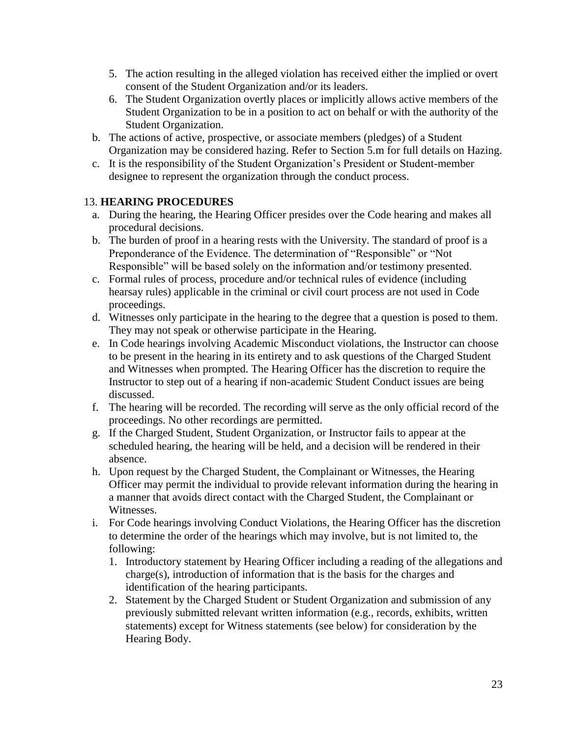- 5. The action resulting in the alleged violation has received either the implied or overt consent of the Student Organization and/or its leaders.
- 6. The Student Organization overtly places or implicitly allows active members of the Student Organization to be in a position to act on behalf or with the authority of the Student Organization.
- b. The actions of active, prospective, or associate members (pledges) of a Student Organization may be considered hazing. Refer to Section 5.m for full details on Hazing.
- c. It is the responsibility of the Student Organization's President or Student-member designee to represent the organization through the conduct process.

### 13. **HEARING PROCEDURES**

- a. During the hearing, the Hearing Officer presides over the Code hearing and makes all procedural decisions.
- b. The burden of proof in a hearing rests with the University. The standard of proof is a Preponderance of the Evidence. The determination of "Responsible" or "Not Responsible" will be based solely on the information and/or testimony presented.
- c. Formal rules of process, procedure and/or technical rules of evidence (including hearsay rules) applicable in the criminal or civil court process are not used in Code proceedings.
- d. Witnesses only participate in the hearing to the degree that a question is posed to them. They may not speak or otherwise participate in the Hearing.
- e. In Code hearings involving Academic Misconduct violations, the Instructor can choose to be present in the hearing in its entirety and to ask questions of the Charged Student and Witnesses when prompted. The Hearing Officer has the discretion to require the Instructor to step out of a hearing if non-academic Student Conduct issues are being discussed.
- f. The hearing will be recorded. The recording will serve as the only official record of the proceedings. No other recordings are permitted.
- g. If the Charged Student, Student Organization, or Instructor fails to appear at the scheduled hearing, the hearing will be held, and a decision will be rendered in their absence.
- h. Upon request by the Charged Student, the Complainant or Witnesses, the Hearing Officer may permit the individual to provide relevant information during the hearing in a manner that avoids direct contact with the Charged Student, the Complainant or Witnesses.
- i. For Code hearings involving Conduct Violations, the Hearing Officer has the discretion to determine the order of the hearings which may involve, but is not limited to, the following:
	- 1. Introductory statement by Hearing Officer including a reading of the allegations and charge(s), introduction of information that is the basis for the charges and identification of the hearing participants.
	- 2. Statement by the Charged Student or Student Organization and submission of any previously submitted relevant written information (e.g., records, exhibits, written statements) except for Witness statements (see below) for consideration by the Hearing Body.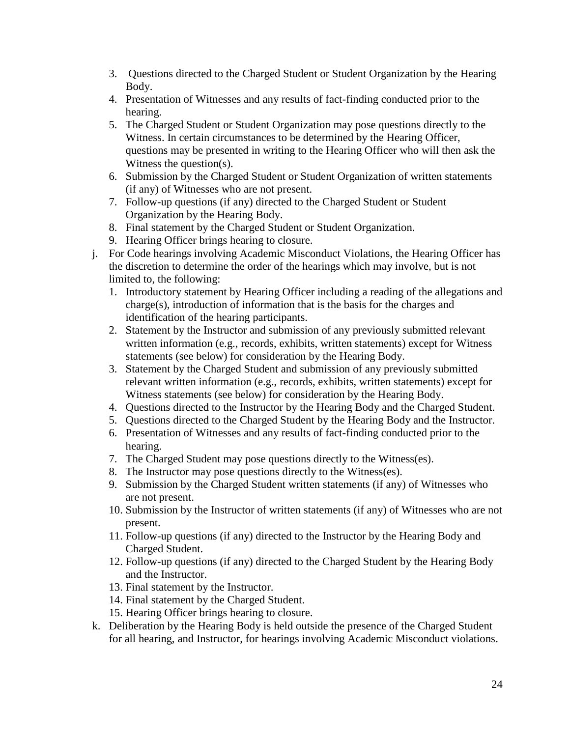- 3. Questions directed to the Charged Student or Student Organization by the Hearing Body.
- 4. Presentation of Witnesses and any results of fact-finding conducted prior to the hearing.
- 5. The Charged Student or Student Organization may pose questions directly to the Witness. In certain circumstances to be determined by the Hearing Officer, questions may be presented in writing to the Hearing Officer who will then ask the Witness the question(s).
- 6. Submission by the Charged Student or Student Organization of written statements (if any) of Witnesses who are not present.
- 7. Follow-up questions (if any) directed to the Charged Student or Student Organization by the Hearing Body.
- 8. Final statement by the Charged Student or Student Organization.
- 9. Hearing Officer brings hearing to closure.
- j. For Code hearings involving Academic Misconduct Violations, the Hearing Officer has the discretion to determine the order of the hearings which may involve, but is not limited to, the following:
	- 1. Introductory statement by Hearing Officer including a reading of the allegations and charge(s), introduction of information that is the basis for the charges and identification of the hearing participants.
	- 2. Statement by the Instructor and submission of any previously submitted relevant written information (e.g., records, exhibits, written statements) except for Witness statements (see below) for consideration by the Hearing Body.
	- 3. Statement by the Charged Student and submission of any previously submitted relevant written information (e.g., records, exhibits, written statements) except for Witness statements (see below) for consideration by the Hearing Body.
	- 4. Questions directed to the Instructor by the Hearing Body and the Charged Student.
	- 5. Questions directed to the Charged Student by the Hearing Body and the Instructor.
	- 6. Presentation of Witnesses and any results of fact-finding conducted prior to the hearing.
	- 7. The Charged Student may pose questions directly to the Witness(es).
	- 8. The Instructor may pose questions directly to the Witness(es).
	- 9. Submission by the Charged Student written statements (if any) of Witnesses who are not present.
	- 10. Submission by the Instructor of written statements (if any) of Witnesses who are not present.
	- 11. Follow-up questions (if any) directed to the Instructor by the Hearing Body and Charged Student.
	- 12. Follow-up questions (if any) directed to the Charged Student by the Hearing Body and the Instructor.
	- 13. Final statement by the Instructor.
	- 14. Final statement by the Charged Student.
	- 15. Hearing Officer brings hearing to closure.
- k. Deliberation by the Hearing Body is held outside the presence of the Charged Student for all hearing, and Instructor, for hearings involving Academic Misconduct violations.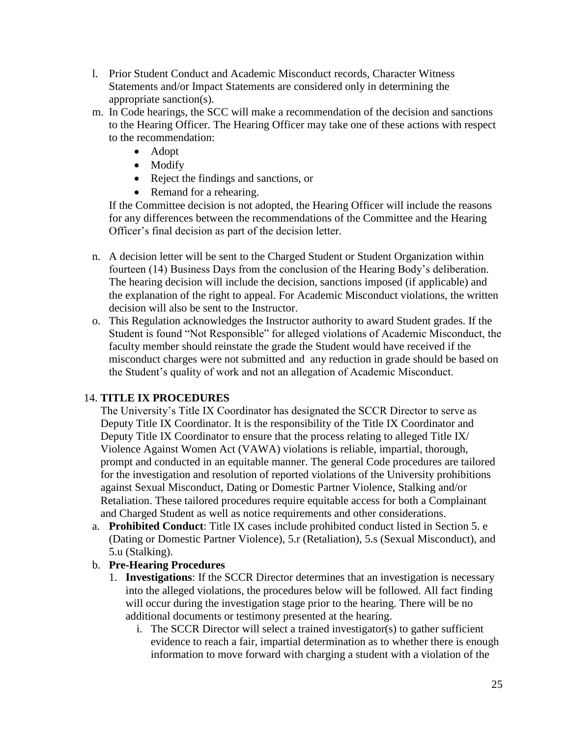- l. Prior Student Conduct and Academic Misconduct records, Character Witness Statements and/or Impact Statements are considered only in determining the appropriate sanction(s).
- m. In Code hearings, the SCC will make a recommendation of the decision and sanctions to the Hearing Officer. The Hearing Officer may take one of these actions with respect to the recommendation:
	- Adopt
	- Modify
	- Reject the findings and sanctions, or
	- Remand for a rehearing.

If the Committee decision is not adopted, the Hearing Officer will include the reasons for any differences between the recommendations of the Committee and the Hearing Officer's final decision as part of the decision letter.

- n. A decision letter will be sent to the Charged Student or Student Organization within fourteen (14) Business Days from the conclusion of the Hearing Body's deliberation. The hearing decision will include the decision, sanctions imposed (if applicable) and the explanation of the right to appeal. For Academic Misconduct violations, the written decision will also be sent to the Instructor.
- o. This Regulation acknowledges the Instructor authority to award Student grades. If the Student is found "Not Responsible" for alleged violations of Academic Misconduct, the faculty member should reinstate the grade the Student would have received if the misconduct charges were not submitted and any reduction in grade should be based on the Student's quality of work and not an allegation of Academic Misconduct.

## 14. **TITLE IX PROCEDURES**

The University's Title IX Coordinator has designated the SCCR Director to serve as Deputy Title IX Coordinator. It is the responsibility of the Title IX Coordinator and Deputy Title IX Coordinator to ensure that the process relating to alleged Title IX/ Violence Against Women Act (VAWA) violations is reliable, impartial, thorough, prompt and conducted in an equitable manner. The general Code procedures are tailored for the investigation and resolution of reported violations of the University prohibitions against Sexual Misconduct, Dating or Domestic Partner Violence, Stalking and/or Retaliation. These tailored procedures require equitable access for both a Complainant and Charged Student as well as notice requirements and other considerations.

a. **Prohibited Conduct**: Title IX cases include prohibited conduct listed in Section 5. e (Dating or Domestic Partner Violence), 5.r (Retaliation), 5.s (Sexual Misconduct), and 5.u (Stalking).

#### b. **Pre-Hearing Procedures**

- 1. **Investigations**: If the SCCR Director determines that an investigation is necessary into the alleged violations, the procedures below will be followed. All fact finding will occur during the investigation stage prior to the hearing. There will be no additional documents or testimony presented at the hearing.
	- i. The SCCR Director will select a trained investigator(s) to gather sufficient evidence to reach a fair, impartial determination as to whether there is enough information to move forward with charging a student with a violation of the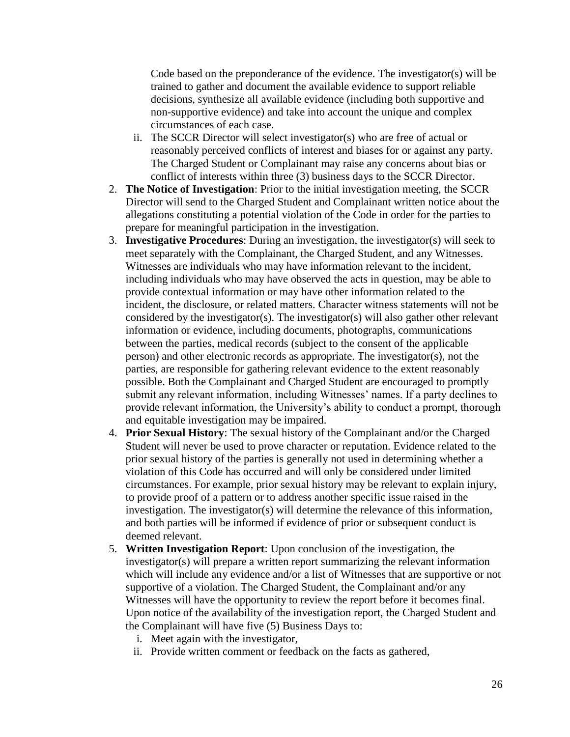Code based on the preponderance of the evidence. The investigator(s) will be trained to gather and document the available evidence to support reliable decisions, synthesize all available evidence (including both supportive and non-supportive evidence) and take into account the unique and complex circumstances of each case.

- ii. The SCCR Director will select investigator(s) who are free of actual or reasonably perceived conflicts of interest and biases for or against any party. The Charged Student or Complainant may raise any concerns about bias or conflict of interests within three (3) business days to the SCCR Director.
- 2. **The Notice of Investigation**: Prior to the initial investigation meeting, the SCCR Director will send to the Charged Student and Complainant written notice about the allegations constituting a potential violation of the Code in order for the parties to prepare for meaningful participation in the investigation.
- 3. **Investigative Procedures**: During an investigation, the investigator(s) will seek to meet separately with the Complainant, the Charged Student, and any Witnesses. Witnesses are individuals who may have information relevant to the incident, including individuals who may have observed the acts in question, may be able to provide contextual information or may have other information related to the incident, the disclosure, or related matters. Character witness statements will not be considered by the investigator(s). The investigator(s) will also gather other relevant information or evidence, including documents, photographs, communications between the parties, medical records (subject to the consent of the applicable person) and other electronic records as appropriate. The investigator(s), not the parties, are responsible for gathering relevant evidence to the extent reasonably possible. Both the Complainant and Charged Student are encouraged to promptly submit any relevant information, including Witnesses' names. If a party declines to provide relevant information, the University's ability to conduct a prompt, thorough and equitable investigation may be impaired.
- 4. **Prior Sexual History**: The sexual history of the Complainant and/or the Charged Student will never be used to prove character or reputation. Evidence related to the prior sexual history of the parties is generally not used in determining whether a violation of this Code has occurred and will only be considered under limited circumstances. For example, prior sexual history may be relevant to explain injury, to provide proof of a pattern or to address another specific issue raised in the investigation. The investigator(s) will determine the relevance of this information, and both parties will be informed if evidence of prior or subsequent conduct is deemed relevant.
- 5. **Written Investigation Report**: Upon conclusion of the investigation, the investigator(s) will prepare a written report summarizing the relevant information which will include any evidence and/or a list of Witnesses that are supportive or not supportive of a violation. The Charged Student, the Complainant and/or any Witnesses will have the opportunity to review the report before it becomes final. Upon notice of the availability of the investigation report, the Charged Student and the Complainant will have five (5) Business Days to:
	- i. Meet again with the investigator,
	- ii. Provide written comment or feedback on the facts as gathered,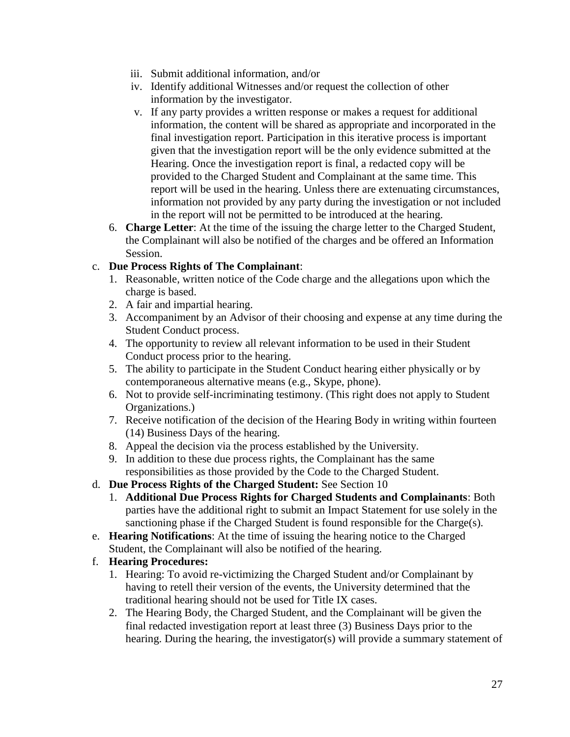- iii. Submit additional information, and/or
- iv. Identify additional Witnesses and/or request the collection of other information by the investigator.
- v. If any party provides a written response or makes a request for additional information, the content will be shared as appropriate and incorporated in the final investigation report. Participation in this iterative process is important given that the investigation report will be the only evidence submitted at the Hearing. Once the investigation report is final, a redacted copy will be provided to the Charged Student and Complainant at the same time. This report will be used in the hearing. Unless there are extenuating circumstances, information not provided by any party during the investigation or not included in the report will not be permitted to be introduced at the hearing.
- 6. **Charge Letter**: At the time of the issuing the charge letter to the Charged Student, the Complainant will also be notified of the charges and be offered an Information Session.

### c. **Due Process Rights of The Complainant**:

- 1. Reasonable, written notice of the Code charge and the allegations upon which the charge is based.
- 2. A fair and impartial hearing.
- 3. Accompaniment by an Advisor of their choosing and expense at any time during the Student Conduct process.
- 4. The opportunity to review all relevant information to be used in their Student Conduct process prior to the hearing.
- 5. The ability to participate in the Student Conduct hearing either physically or by contemporaneous alternative means (e.g., Skype, phone).
- 6. Not to provide self-incriminating testimony. (This right does not apply to Student Organizations.)
- 7. Receive notification of the decision of the Hearing Body in writing within fourteen (14) Business Days of the hearing.
- 8. Appeal the decision via the process established by the University.
- 9. In addition to these due process rights, the Complainant has the same responsibilities as those provided by the Code to the Charged Student.
- d. **Due Process Rights of the Charged Student:** See Section 10
	- 1. **Additional Due Process Rights for Charged Students and Complainants**: Both parties have the additional right to submit an Impact Statement for use solely in the sanctioning phase if the Charged Student is found responsible for the Charge(s).
- e. **Hearing Notifications**: At the time of issuing the hearing notice to the Charged Student, the Complainant will also be notified of the hearing.

#### f. **Hearing Procedures:**

- 1. Hearing: To avoid re-victimizing the Charged Student and/or Complainant by having to retell their version of the events, the University determined that the traditional hearing should not be used for Title IX cases.
- 2. The Hearing Body, the Charged Student, and the Complainant will be given the final redacted investigation report at least three (3) Business Days prior to the hearing. During the hearing, the investigator(s) will provide a summary statement of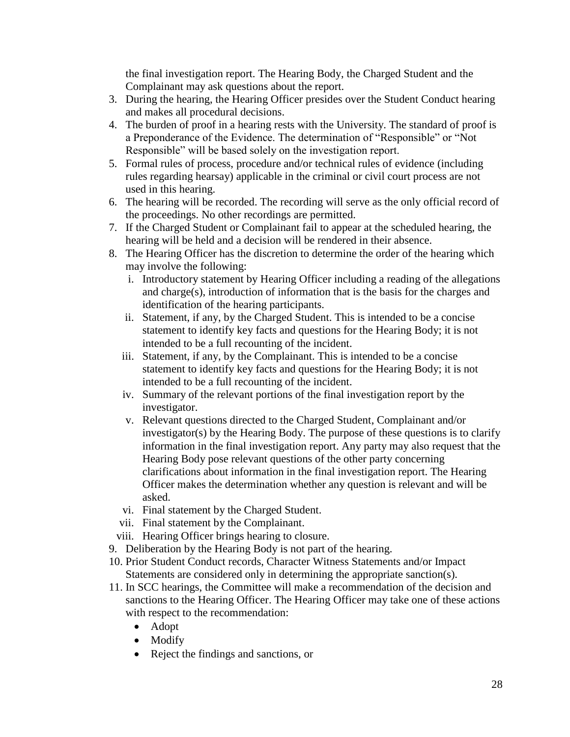the final investigation report. The Hearing Body, the Charged Student and the Complainant may ask questions about the report.

- 3. During the hearing, the Hearing Officer presides over the Student Conduct hearing and makes all procedural decisions.
- 4. The burden of proof in a hearing rests with the University. The standard of proof is a Preponderance of the Evidence. The determination of "Responsible" or "Not Responsible" will be based solely on the investigation report.
- 5. Formal rules of process, procedure and/or technical rules of evidence (including rules regarding hearsay) applicable in the criminal or civil court process are not used in this hearing.
- 6. The hearing will be recorded. The recording will serve as the only official record of the proceedings. No other recordings are permitted.
- 7. If the Charged Student or Complainant fail to appear at the scheduled hearing, the hearing will be held and a decision will be rendered in their absence.
- 8. The Hearing Officer has the discretion to determine the order of the hearing which may involve the following:
	- i. Introductory statement by Hearing Officer including a reading of the allegations and charge(s), introduction of information that is the basis for the charges and identification of the hearing participants.
	- ii. Statement, if any, by the Charged Student. This is intended to be a concise statement to identify key facts and questions for the Hearing Body; it is not intended to be a full recounting of the incident.
	- iii. Statement, if any, by the Complainant. This is intended to be a concise statement to identify key facts and questions for the Hearing Body; it is not intended to be a full recounting of the incident.
	- iv. Summary of the relevant portions of the final investigation report by the investigator.
	- v. Relevant questions directed to the Charged Student, Complainant and/or investigator(s) by the Hearing Body. The purpose of these questions is to clarify information in the final investigation report. Any party may also request that the Hearing Body pose relevant questions of the other party concerning clarifications about information in the final investigation report. The Hearing Officer makes the determination whether any question is relevant and will be asked.
	- vi. Final statement by the Charged Student.
	- vii. Final statement by the Complainant.
	- viii. Hearing Officer brings hearing to closure.
- 9. Deliberation by the Hearing Body is not part of the hearing.
- 10. Prior Student Conduct records, Character Witness Statements and/or Impact Statements are considered only in determining the appropriate sanction(s).
- 11. In SCC hearings, the Committee will make a recommendation of the decision and sanctions to the Hearing Officer. The Hearing Officer may take one of these actions with respect to the recommendation:
	- Adopt
	- Modify
	- Reject the findings and sanctions, or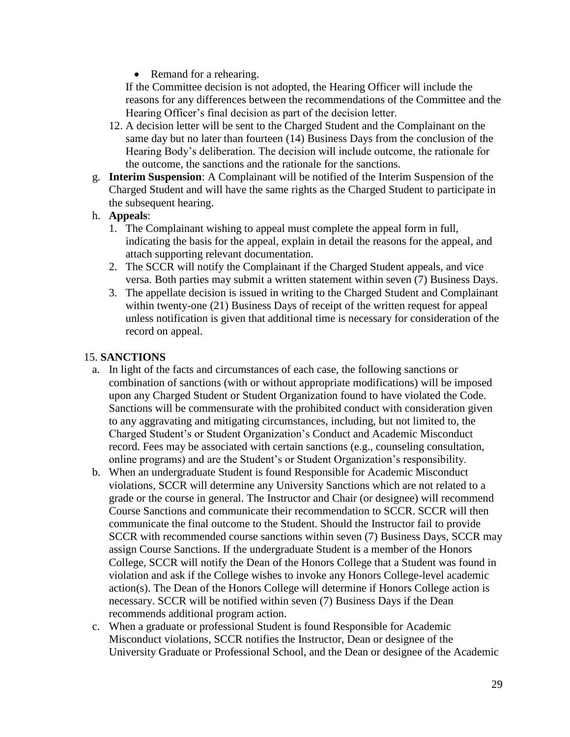• Remand for a rehearing.

If the Committee decision is not adopted, the Hearing Officer will include the reasons for any differences between the recommendations of the Committee and the Hearing Officer's final decision as part of the decision letter.

- 12. A decision letter will be sent to the Charged Student and the Complainant on the same day but no later than fourteen (14) Business Days from the conclusion of the Hearing Body's deliberation. The decision will include outcome, the rationale for the outcome, the sanctions and the rationale for the sanctions.
- g. **Interim Suspension**: A Complainant will be notified of the Interim Suspension of the Charged Student and will have the same rights as the Charged Student to participate in the subsequent hearing.
- h. **Appeals**:
	- 1. The Complainant wishing to appeal must complete the appeal form in full, indicating the basis for the appeal, explain in detail the reasons for the appeal, and attach supporting relevant documentation.
	- 2. The SCCR will notify the Complainant if the Charged Student appeals, and vice versa. Both parties may submit a written statement within seven (7) Business Days.
	- 3. The appellate decision is issued in writing to the Charged Student and Complainant within twenty-one (21) Business Days of receipt of the written request for appeal unless notification is given that additional time is necessary for consideration of the record on appeal.

#### 15. **SANCTIONS**

- a. In light of the facts and circumstances of each case, the following sanctions or combination of sanctions (with or without appropriate modifications) will be imposed upon any Charged Student or Student Organization found to have violated the Code. Sanctions will be commensurate with the prohibited conduct with consideration given to any aggravating and mitigating circumstances, including, but not limited to, the Charged Student's or Student Organization's Conduct and Academic Misconduct record. Fees may be associated with certain sanctions (e.g., counseling consultation, online programs) and are the Student's or Student Organization's responsibility.
- b. When an undergraduate Student is found Responsible for Academic Misconduct violations, SCCR will determine any University Sanctions which are not related to a grade or the course in general. The Instructor and Chair (or designee) will recommend Course Sanctions and communicate their recommendation to SCCR. SCCR will then communicate the final outcome to the Student. Should the Instructor fail to provide SCCR with recommended course sanctions within seven (7) Business Days, SCCR may assign Course Sanctions. If the undergraduate Student is a member of the Honors College, SCCR will notify the Dean of the Honors College that a Student was found in violation and ask if the College wishes to invoke any Honors College-level academic action(s). The Dean of the Honors College will determine if Honors College action is necessary. SCCR will be notified within seven (7) Business Days if the Dean recommends additional program action.
- c. When a graduate or professional Student is found Responsible for Academic Misconduct violations, SCCR notifies the Instructor, Dean or designee of the University Graduate or Professional School, and the Dean or designee of the Academic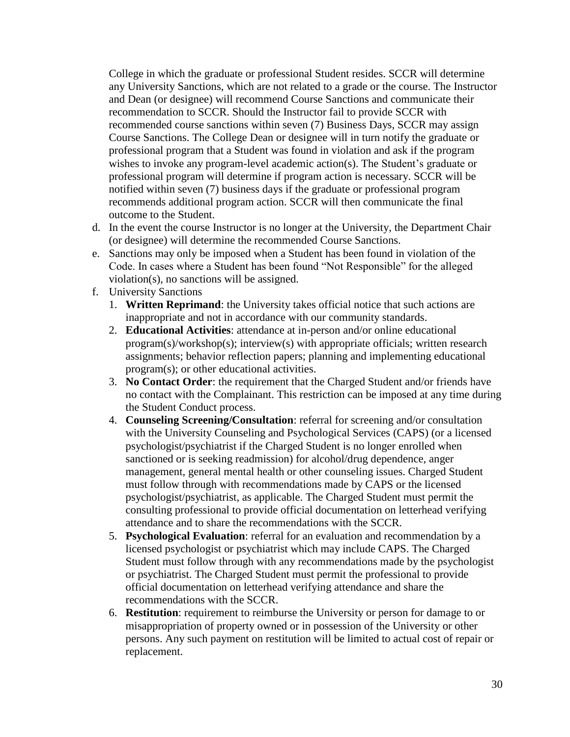College in which the graduate or professional Student resides. SCCR will determine any University Sanctions, which are not related to a grade or the course. The Instructor and Dean (or designee) will recommend Course Sanctions and communicate their recommendation to SCCR. Should the Instructor fail to provide SCCR with recommended course sanctions within seven (7) Business Days, SCCR may assign Course Sanctions. The College Dean or designee will in turn notify the graduate or professional program that a Student was found in violation and ask if the program wishes to invoke any program-level academic action(s). The Student's graduate or professional program will determine if program action is necessary. SCCR will be notified within seven (7) business days if the graduate or professional program recommends additional program action. SCCR will then communicate the final outcome to the Student.

- d. In the event the course Instructor is no longer at the University, the Department Chair (or designee) will determine the recommended Course Sanctions.
- e. Sanctions may only be imposed when a Student has been found in violation of the Code. In cases where a Student has been found "Not Responsible" for the alleged violation(s), no sanctions will be assigned.
- f. University Sanctions
	- 1. **Written Reprimand**: the University takes official notice that such actions are inappropriate and not in accordance with our community standards.
	- 2. **Educational Activities**: attendance at in-person and/or online educational program(s)/workshop(s); interview(s) with appropriate officials; written research assignments; behavior reflection papers; planning and implementing educational program(s); or other educational activities.
	- 3. **No Contact Order**: the requirement that the Charged Student and/or friends have no contact with the Complainant. This restriction can be imposed at any time during the Student Conduct process.
	- 4. **Counseling Screening/Consultation**: referral for screening and/or consultation with the University Counseling and Psychological Services (CAPS) (or a licensed psychologist/psychiatrist if the Charged Student is no longer enrolled when sanctioned or is seeking readmission) for alcohol/drug dependence, anger management, general mental health or other counseling issues. Charged Student must follow through with recommendations made by CAPS or the licensed psychologist/psychiatrist, as applicable. The Charged Student must permit the consulting professional to provide official documentation on letterhead verifying attendance and to share the recommendations with the SCCR.
	- 5. **Psychological Evaluation**: referral for an evaluation and recommendation by a licensed psychologist or psychiatrist which may include CAPS. The Charged Student must follow through with any recommendations made by the psychologist or psychiatrist. The Charged Student must permit the professional to provide official documentation on letterhead verifying attendance and share the recommendations with the SCCR.
	- 6. **Restitution**: requirement to reimburse the University or person for damage to or misappropriation of property owned or in possession of the University or other persons. Any such payment on restitution will be limited to actual cost of repair or replacement.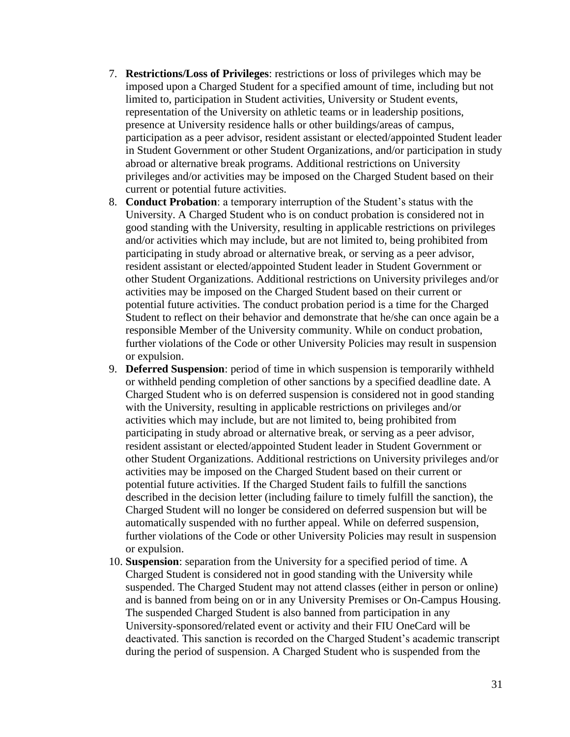- 7. **Restrictions/Loss of Privileges**: restrictions or loss of privileges which may be imposed upon a Charged Student for a specified amount of time, including but not limited to, participation in Student activities, University or Student events, representation of the University on athletic teams or in leadership positions, presence at University residence halls or other buildings/areas of campus, participation as a peer advisor, resident assistant or elected/appointed Student leader in Student Government or other Student Organizations, and/or participation in study abroad or alternative break programs. Additional restrictions on University privileges and/or activities may be imposed on the Charged Student based on their current or potential future activities.
- 8. **Conduct Probation**: a temporary interruption of the Student's status with the University. A Charged Student who is on conduct probation is considered not in good standing with the University, resulting in applicable restrictions on privileges and/or activities which may include, but are not limited to, being prohibited from participating in study abroad or alternative break, or serving as a peer advisor, resident assistant or elected/appointed Student leader in Student Government or other Student Organizations. Additional restrictions on University privileges and/or activities may be imposed on the Charged Student based on their current or potential future activities. The conduct probation period is a time for the Charged Student to reflect on their behavior and demonstrate that he/she can once again be a responsible Member of the University community. While on conduct probation, further violations of the Code or other University Policies may result in suspension or expulsion.
- 9. **Deferred Suspension**: period of time in which suspension is temporarily withheld or withheld pending completion of other sanctions by a specified deadline date. A Charged Student who is on deferred suspension is considered not in good standing with the University, resulting in applicable restrictions on privileges and/or activities which may include, but are not limited to, being prohibited from participating in study abroad or alternative break, or serving as a peer advisor, resident assistant or elected/appointed Student leader in Student Government or other Student Organizations. Additional restrictions on University privileges and/or activities may be imposed on the Charged Student based on their current or potential future activities. If the Charged Student fails to fulfill the sanctions described in the decision letter (including failure to timely fulfill the sanction), the Charged Student will no longer be considered on deferred suspension but will be automatically suspended with no further appeal. While on deferred suspension, further violations of the Code or other University Policies may result in suspension or expulsion.
- 10. **Suspension**: separation from the University for a specified period of time. A Charged Student is considered not in good standing with the University while suspended. The Charged Student may not attend classes (either in person or online) and is banned from being on or in any University Premises or On-Campus Housing. The suspended Charged Student is also banned from participation in any University-sponsored/related event or activity and their FIU OneCard will be deactivated. This sanction is recorded on the Charged Student's academic transcript during the period of suspension. A Charged Student who is suspended from the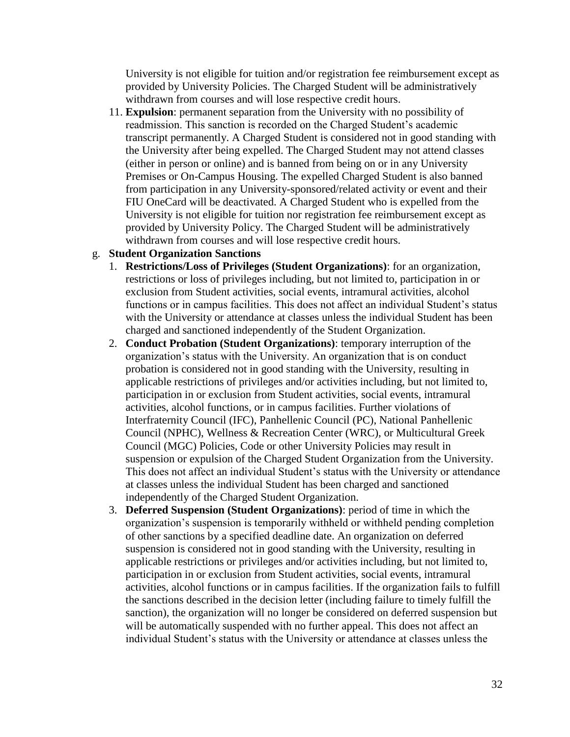University is not eligible for tuition and/or registration fee reimbursement except as provided by University Policies. The Charged Student will be administratively withdrawn from courses and will lose respective credit hours.

11. **Expulsion**: permanent separation from the University with no possibility of readmission. This sanction is recorded on the Charged Student's academic transcript permanently. A Charged Student is considered not in good standing with the University after being expelled. The Charged Student may not attend classes (either in person or online) and is banned from being on or in any University Premises or On-Campus Housing. The expelled Charged Student is also banned from participation in any University-sponsored/related activity or event and their FIU OneCard will be deactivated. A Charged Student who is expelled from the University is not eligible for tuition nor registration fee reimbursement except as provided by University Policy. The Charged Student will be administratively withdrawn from courses and will lose respective credit hours.

#### g. **Student Organization Sanctions**

- 1. **Restrictions/Loss of Privileges (Student Organizations)**: for an organization, restrictions or loss of privileges including, but not limited to, participation in or exclusion from Student activities, social events, intramural activities, alcohol functions or in campus facilities. This does not affect an individual Student's status with the University or attendance at classes unless the individual Student has been charged and sanctioned independently of the Student Organization.
- 2. **Conduct Probation (Student Organizations)**: temporary interruption of the organization's status with the University. An organization that is on conduct probation is considered not in good standing with the University, resulting in applicable restrictions of privileges and/or activities including, but not limited to, participation in or exclusion from Student activities, social events, intramural activities, alcohol functions, or in campus facilities. Further violations of Interfraternity Council (IFC), Panhellenic Council (PC), National Panhellenic Council (NPHC), Wellness & Recreation Center (WRC), or Multicultural Greek Council (MGC) Policies, Code or other University Policies may result in suspension or expulsion of the Charged Student Organization from the University. This does not affect an individual Student's status with the University or attendance at classes unless the individual Student has been charged and sanctioned independently of the Charged Student Organization.
- 3. **Deferred Suspension (Student Organizations)**: period of time in which the organization's suspension is temporarily withheld or withheld pending completion of other sanctions by a specified deadline date. An organization on deferred suspension is considered not in good standing with the University, resulting in applicable restrictions or privileges and/or activities including, but not limited to, participation in or exclusion from Student activities, social events, intramural activities, alcohol functions or in campus facilities. If the organization fails to fulfill the sanctions described in the decision letter (including failure to timely fulfill the sanction), the organization will no longer be considered on deferred suspension but will be automatically suspended with no further appeal. This does not affect an individual Student's status with the University or attendance at classes unless the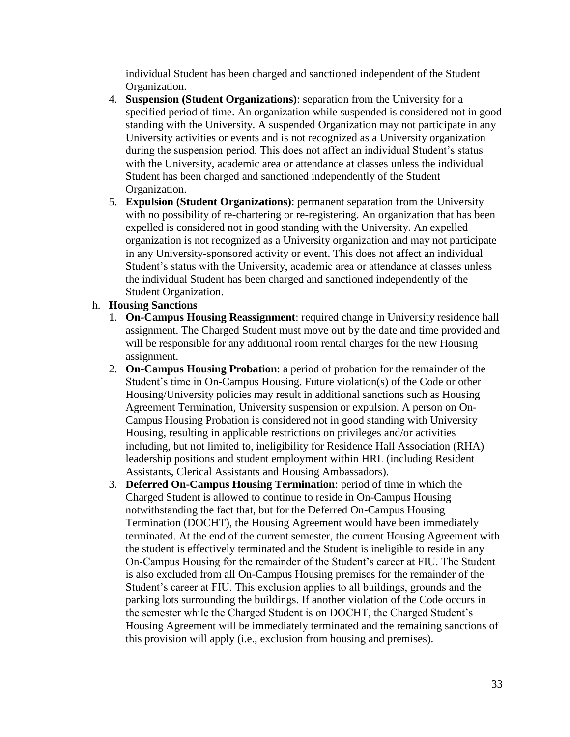individual Student has been charged and sanctioned independent of the Student Organization.

- 4. **Suspension (Student Organizations)**: separation from the University for a specified period of time. An organization while suspended is considered not in good standing with the University. A suspended Organization may not participate in any University activities or events and is not recognized as a University organization during the suspension period. This does not affect an individual Student's status with the University, academic area or attendance at classes unless the individual Student has been charged and sanctioned independently of the Student Organization.
- 5. **Expulsion (Student Organizations)**: permanent separation from the University with no possibility of re-chartering or re-registering. An organization that has been expelled is considered not in good standing with the University. An expelled organization is not recognized as a University organization and may not participate in any University-sponsored activity or event. This does not affect an individual Student's status with the University, academic area or attendance at classes unless the individual Student has been charged and sanctioned independently of the Student Organization.

#### h. **Housing Sanctions**

- 1. **On-Campus Housing Reassignment**: required change in University residence hall assignment. The Charged Student must move out by the date and time provided and will be responsible for any additional room rental charges for the new Housing assignment.
- 2. **On-Campus Housing Probation**: a period of probation for the remainder of the Student's time in On-Campus Housing. Future violation(s) of the Code or other Housing/University policies may result in additional sanctions such as Housing Agreement Termination, University suspension or expulsion. A person on On-Campus Housing Probation is considered not in good standing with University Housing, resulting in applicable restrictions on privileges and/or activities including, but not limited to, ineligibility for Residence Hall Association (RHA) leadership positions and student employment within HRL (including Resident Assistants, Clerical Assistants and Housing Ambassadors).
- 3. **Deferred On-Campus Housing Termination**: period of time in which the Charged Student is allowed to continue to reside in On-Campus Housing notwithstanding the fact that, but for the Deferred On-Campus Housing Termination (DOCHT), the Housing Agreement would have been immediately terminated. At the end of the current semester, the current Housing Agreement with the student is effectively terminated and the Student is ineligible to reside in any On-Campus Housing for the remainder of the Student's career at FIU. The Student is also excluded from all On-Campus Housing premises for the remainder of the Student's career at FIU. This exclusion applies to all buildings, grounds and the parking lots surrounding the buildings. If another violation of the Code occurs in the semester while the Charged Student is on DOCHT, the Charged Student's Housing Agreement will be immediately terminated and the remaining sanctions of this provision will apply (i.e., exclusion from housing and premises).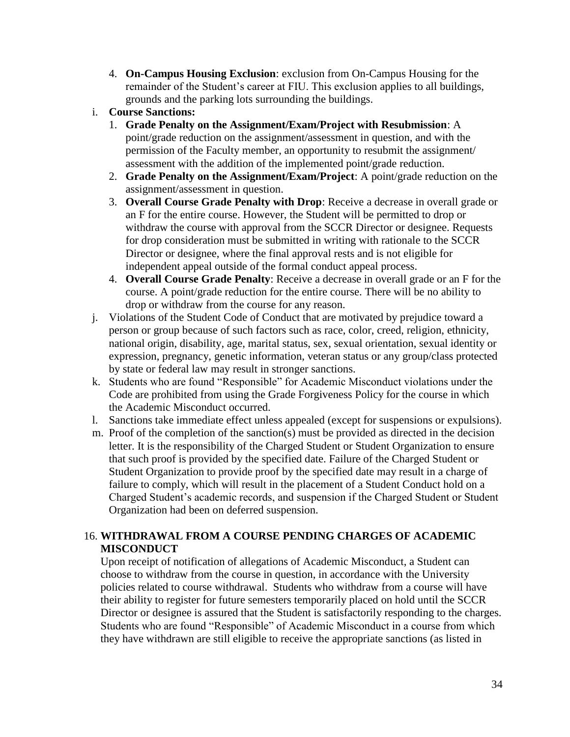4. **On-Campus Housing Exclusion**: exclusion from On-Campus Housing for the remainder of the Student's career at FIU. This exclusion applies to all buildings, grounds and the parking lots surrounding the buildings.

#### i. **Course Sanctions:**

- 1. **Grade Penalty on the Assignment/Exam/Project with Resubmission**: A point/grade reduction on the assignment/assessment in question, and with the permission of the Faculty member, an opportunity to resubmit the assignment/ assessment with the addition of the implemented point/grade reduction.
- 2. **Grade Penalty on the Assignment/Exam/Project**: A point/grade reduction on the assignment/assessment in question.
- 3. **Overall Course Grade Penalty with Drop**: Receive a decrease in overall grade or an F for the entire course. However, the Student will be permitted to drop or withdraw the course with approval from the SCCR Director or designee. Requests for drop consideration must be submitted in writing with rationale to the SCCR Director or designee, where the final approval rests and is not eligible for independent appeal outside of the formal conduct appeal process.
- 4. **Overall Course Grade Penalty**: Receive a decrease in overall grade or an F for the course. A point/grade reduction for the entire course. There will be no ability to drop or withdraw from the course for any reason.
- j. Violations of the Student Code of Conduct that are motivated by prejudice toward a person or group because of such factors such as race, color, creed, religion, ethnicity, national origin, disability, age, marital status, sex, sexual orientation, sexual identity or expression, pregnancy, genetic information, veteran status or any group/class protected by state or federal law may result in stronger sanctions.
- k. Students who are found "Responsible" for Academic Misconduct violations under the Code are prohibited from using the Grade Forgiveness Policy for the course in which the Academic Misconduct occurred.
- l. Sanctions take immediate effect unless appealed (except for suspensions or expulsions).
- m. Proof of the completion of the sanction(s) must be provided as directed in the decision letter. It is the responsibility of the Charged Student or Student Organization to ensure that such proof is provided by the specified date. Failure of the Charged Student or Student Organization to provide proof by the specified date may result in a charge of failure to comply, which will result in the placement of a Student Conduct hold on a Charged Student's academic records, and suspension if the Charged Student or Student Organization had been on deferred suspension.

#### 16. **WITHDRAWAL FROM A COURSE PENDING CHARGES OF ACADEMIC MISCONDUCT**

Upon receipt of notification of allegations of Academic Misconduct, a Student can choose to withdraw from the course in question, in accordance with the University policies related to course withdrawal. Students who withdraw from a course will have their ability to register for future semesters temporarily placed on hold until the SCCR Director or designee is assured that the Student is satisfactorily responding to the charges. Students who are found "Responsible" of Academic Misconduct in a course from which they have withdrawn are still eligible to receive the appropriate sanctions (as listed in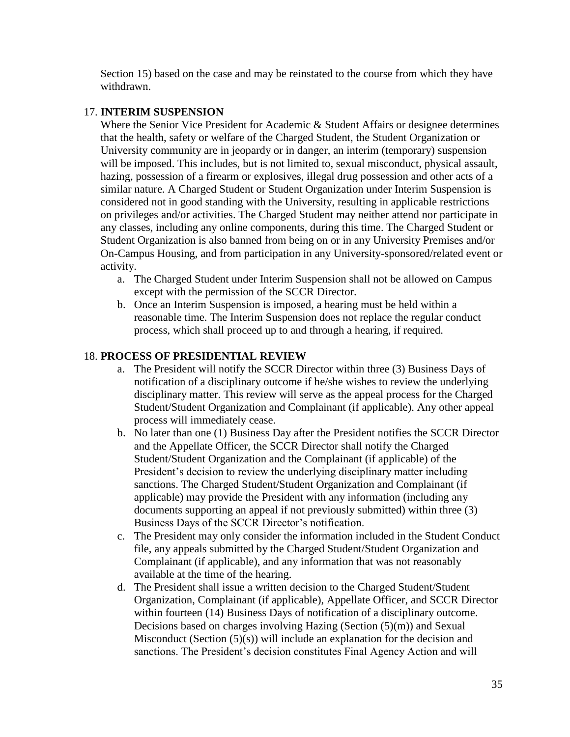Section 15) based on the case and may be reinstated to the course from which they have withdrawn.

#### 17. **INTERIM SUSPENSION**

Where the Senior Vice President for Academic & Student Affairs or designee determines that the health, safety or welfare of the Charged Student, the Student Organization or University community are in jeopardy or in danger, an interim (temporary) suspension will be imposed. This includes, but is not limited to, sexual misconduct, physical assault, hazing, possession of a firearm or explosives, illegal drug possession and other acts of a similar nature. A Charged Student or Student Organization under Interim Suspension is considered not in good standing with the University, resulting in applicable restrictions on privileges and/or activities. The Charged Student may neither attend nor participate in any classes, including any online components, during this time. The Charged Student or Student Organization is also banned from being on or in any University Premises and/or On-Campus Housing, and from participation in any University-sponsored/related event or activity.

- a. The Charged Student under Interim Suspension shall not be allowed on Campus except with the permission of the SCCR Director.
- b. Once an Interim Suspension is imposed, a hearing must be held within a reasonable time. The Interim Suspension does not replace the regular conduct process, which shall proceed up to and through a hearing, if required.

#### 18. **PROCESS OF PRESIDENTIAL REVIEW**

- a. The President will notify the SCCR Director within three (3) Business Days of notification of a disciplinary outcome if he/she wishes to review the underlying disciplinary matter. This review will serve as the appeal process for the Charged Student/Student Organization and Complainant (if applicable). Any other appeal process will immediately cease.
- b. No later than one (1) Business Day after the President notifies the SCCR Director and the Appellate Officer, the SCCR Director shall notify the Charged Student/Student Organization and the Complainant (if applicable) of the President's decision to review the underlying disciplinary matter including sanctions. The Charged Student/Student Organization and Complainant (if applicable) may provide the President with any information (including any documents supporting an appeal if not previously submitted) within three (3) Business Days of the SCCR Director's notification.
- c. The President may only consider the information included in the Student Conduct file, any appeals submitted by the Charged Student/Student Organization and Complainant (if applicable), and any information that was not reasonably available at the time of the hearing.
- d. The President shall issue a written decision to the Charged Student/Student Organization, Complainant (if applicable), Appellate Officer, and SCCR Director within fourteen (14) Business Days of notification of a disciplinary outcome. Decisions based on charges involving Hazing (Section (5)(m)) and Sexual Misconduct (Section (5)(s)) will include an explanation for the decision and sanctions. The President's decision constitutes Final Agency Action and will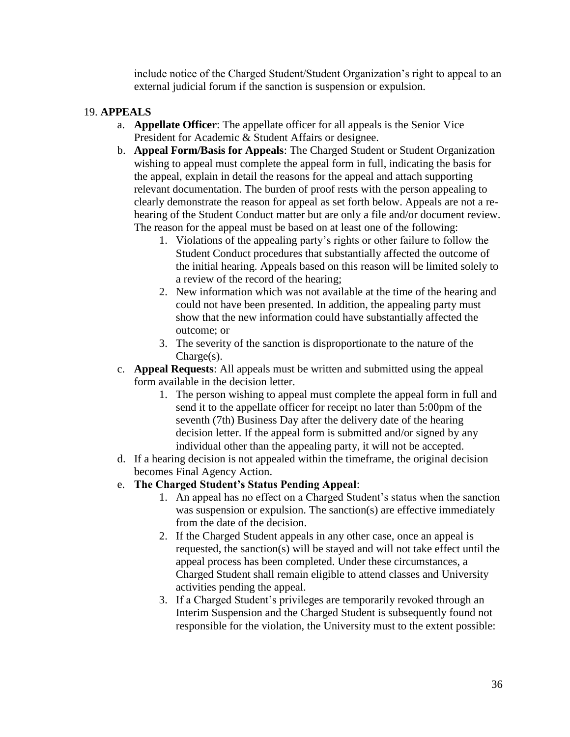include notice of the Charged Student/Student Organization's right to appeal to an external judicial forum if the sanction is suspension or expulsion.

### 19. **APPEALS**

- a. **Appellate Officer**: The appellate officer for all appeals is the Senior Vice President for Academic & Student Affairs or designee.
- b. **Appeal Form/Basis for Appeals**: The Charged Student or Student Organization wishing to appeal must complete the appeal form in full, indicating the basis for the appeal, explain in detail the reasons for the appeal and attach supporting relevant documentation. The burden of proof rests with the person appealing to clearly demonstrate the reason for appeal as set forth below. Appeals are not a rehearing of the Student Conduct matter but are only a file and/or document review. The reason for the appeal must be based on at least one of the following:
	- 1. Violations of the appealing party's rights or other failure to follow the Student Conduct procedures that substantially affected the outcome of the initial hearing. Appeals based on this reason will be limited solely to a review of the record of the hearing;
	- 2. New information which was not available at the time of the hearing and could not have been presented. In addition, the appealing party must show that the new information could have substantially affected the outcome; or
	- 3. The severity of the sanction is disproportionate to the nature of the Charge(s).
- c. **Appeal Requests**: All appeals must be written and submitted using the appeal form available in the decision letter.
	- 1. The person wishing to appeal must complete the appeal form in full and send it to the appellate officer for receipt no later than 5:00pm of the seventh (7th) Business Day after the delivery date of the hearing decision letter. If the appeal form is submitted and/or signed by any individual other than the appealing party, it will not be accepted.
- d. If a hearing decision is not appealed within the timeframe, the original decision becomes Final Agency Action.
- e. **The Charged Student's Status Pending Appeal**:
	- 1. An appeal has no effect on a Charged Student's status when the sanction was suspension or expulsion. The sanction(s) are effective immediately from the date of the decision.
	- 2. If the Charged Student appeals in any other case, once an appeal is requested, the sanction(s) will be stayed and will not take effect until the appeal process has been completed. Under these circumstances, a Charged Student shall remain eligible to attend classes and University activities pending the appeal.
	- 3. If a Charged Student's privileges are temporarily revoked through an Interim Suspension and the Charged Student is subsequently found not responsible for the violation, the University must to the extent possible: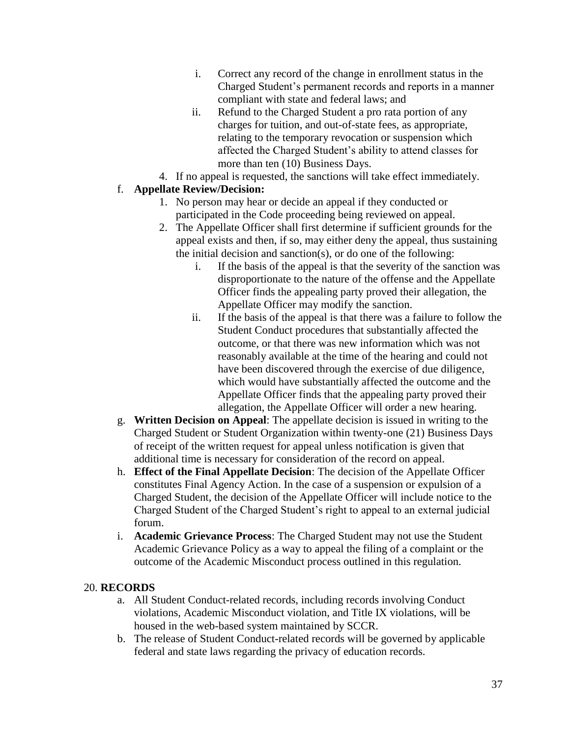- i. Correct any record of the change in enrollment status in the Charged Student's permanent records and reports in a manner compliant with state and federal laws; and
- ii. Refund to the Charged Student a pro rata portion of any charges for tuition, and out-of-state fees, as appropriate, relating to the temporary revocation or suspension which affected the Charged Student's ability to attend classes for more than ten (10) Business Days.
- 4. If no appeal is requested, the sanctions will take effect immediately.

## f. **Appellate Review/Decision:**

- 1. No person may hear or decide an appeal if they conducted or participated in the Code proceeding being reviewed on appeal.
- 2. The Appellate Officer shall first determine if sufficient grounds for the appeal exists and then, if so, may either deny the appeal, thus sustaining the initial decision and sanction(s), or do one of the following:
	- i. If the basis of the appeal is that the severity of the sanction was disproportionate to the nature of the offense and the Appellate Officer finds the appealing party proved their allegation, the Appellate Officer may modify the sanction.
	- ii. If the basis of the appeal is that there was a failure to follow the Student Conduct procedures that substantially affected the outcome, or that there was new information which was not reasonably available at the time of the hearing and could not have been discovered through the exercise of due diligence, which would have substantially affected the outcome and the Appellate Officer finds that the appealing party proved their allegation, the Appellate Officer will order a new hearing.
- g. **Written Decision on Appeal**: The appellate decision is issued in writing to the Charged Student or Student Organization within twenty-one (21) Business Days of receipt of the written request for appeal unless notification is given that additional time is necessary for consideration of the record on appeal.
- h. **Effect of the Final Appellate Decision**: The decision of the Appellate Officer constitutes Final Agency Action. In the case of a suspension or expulsion of a Charged Student, the decision of the Appellate Officer will include notice to the Charged Student of the Charged Student's right to appeal to an external judicial forum.
- i. **Academic Grievance Process**: The Charged Student may not use the Student Academic Grievance Policy as a way to appeal the filing of a complaint or the outcome of the Academic Misconduct process outlined in this regulation.

#### 20. **RECORDS**

- a. All Student Conduct-related records, including records involving Conduct violations, Academic Misconduct violation, and Title IX violations, will be housed in the web-based system maintained by SCCR.
- b. The release of Student Conduct-related records will be governed by applicable federal and state laws regarding the privacy of education records.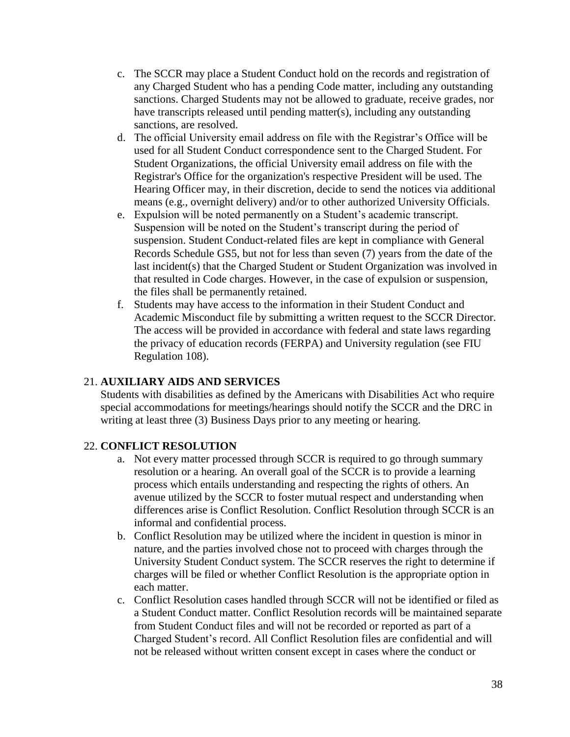- c. The SCCR may place a Student Conduct hold on the records and registration of any Charged Student who has a pending Code matter, including any outstanding sanctions. Charged Students may not be allowed to graduate, receive grades, nor have transcripts released until pending matter(s), including any outstanding sanctions, are resolved.
- d. The official University email address on file with the Registrar's Office will be used for all Student Conduct correspondence sent to the Charged Student. For Student Organizations, the official University email address on file with the Registrar's Office for the organization's respective President will be used. The Hearing Officer may, in their discretion, decide to send the notices via additional means (e.g., overnight delivery) and/or to other authorized University Officials.
- e. Expulsion will be noted permanently on a Student's academic transcript. Suspension will be noted on the Student's transcript during the period of suspension. Student Conduct-related files are kept in compliance with General Records Schedule GS5, but not for less than seven (7) years from the date of the last incident(s) that the Charged Student or Student Organization was involved in that resulted in Code charges. However, in the case of expulsion or suspension, the files shall be permanently retained.
- f. Students may have access to the information in their Student Conduct and Academic Misconduct file by submitting a written request to the SCCR Director. The access will be provided in accordance with federal and state laws regarding the privacy of education records (FERPA) and University regulation (see FIU Regulation 108).

#### 21. **AUXILIARY AIDS AND SERVICES**

Students with disabilities as defined by the Americans with Disabilities Act who require special accommodations for meetings/hearings should notify the SCCR and the DRC in writing at least three (3) Business Days prior to any meeting or hearing.

#### 22. **CONFLICT RESOLUTION**

- a. Not every matter processed through SCCR is required to go through summary resolution or a hearing. An overall goal of the SCCR is to provide a learning process which entails understanding and respecting the rights of others. An avenue utilized by the SCCR to foster mutual respect and understanding when differences arise is Conflict Resolution. Conflict Resolution through SCCR is an informal and confidential process.
- b. Conflict Resolution may be utilized where the incident in question is minor in nature, and the parties involved chose not to proceed with charges through the University Student Conduct system. The SCCR reserves the right to determine if charges will be filed or whether Conflict Resolution is the appropriate option in each matter.
- c. Conflict Resolution cases handled through SCCR will not be identified or filed as a Student Conduct matter. Conflict Resolution records will be maintained separate from Student Conduct files and will not be recorded or reported as part of a Charged Student's record. All Conflict Resolution files are confidential and will not be released without written consent except in cases where the conduct or